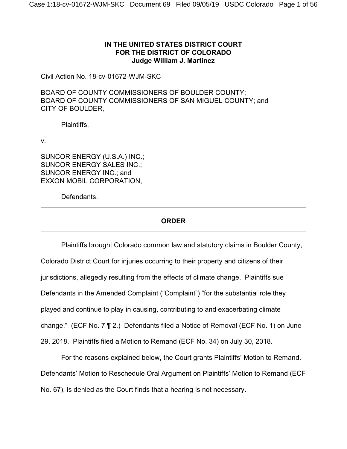# **IN THE UNITED STATES DISTRICT COURT FOR THE DISTRICT OF COLORADO Judge William J. Martínez**

Civil Action No. 18-cv-01672-WJM-SKC

BOARD OF COUNTY COMMISSIONERS OF BOULDER COUNTY; BOARD OF COUNTY COMMISSIONERS OF SAN MIGUEL COUNTY; and CITY OF BOULDER,

Plaintiffs,

v.

SUNCOR ENERGY (U.S.A.) INC.; SUNCOR ENERGY SALES INC.; SUNCOR ENERGY INC.; and EXXON MOBIL CORPORATION,

Defendants.

# **ORDER**

Plaintiffs brought Colorado common law and statutory claims in Boulder County, Colorado District Court for injuries occurring to their property and citizens of their jurisdictions, allegedly resulting from the effects of climate change. Plaintiffs sue Defendants in the Amended Complaint ("Complaint") "for the substantial role they played and continue to play in causing, contributing to and exacerbating climate change." (ECF No. 7 ¶ 2.) Defendants filed a Notice of Removal (ECF No. 1) on June 29, 2018. Plaintiffs filed a Motion to Remand (ECF No. 34) on July 30, 2018.

For the reasons explained below, the Court grants Plaintiffs' Motion to Remand. Defendants' Motion to Reschedule Oral Argument on Plaintiffs' Motion to Remand (ECF No. 67), is denied as the Court finds that a hearing is not necessary.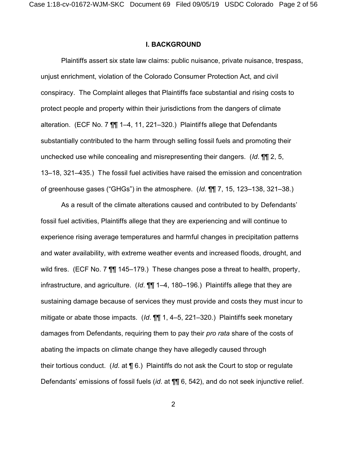### **I. BACKGROUND**

Plaintiffs assert six state law claims: public nuisance, private nuisance, trespass, unjust enrichment, violation of the Colorado Consumer Protection Act, and civil conspiracy. The Complaint alleges that Plaintiffs face substantial and rising costs to protect people and property within their jurisdictions from the dangers of climate alteration. (ECF No. 7 ¶¶ 1–4, 11, 221–320.) Plaintiffs allege that Defendants substantially contributed to the harm through selling fossil fuels and promoting their unchecked use while concealing and misrepresenting their dangers. (*Id*. ¶¶ 2, 5, 13–18, 321–435.) The fossil fuel activities have raised the emission and concentration of greenhouse gases ("GHGs") in the atmosphere. (*Id*. ¶¶ 7, 15, 123–138, 321–38.)

As a result of the climate alterations caused and contributed to by Defendants' fossil fuel activities, Plaintiffs allege that they are experiencing and will continue to experience rising average temperatures and harmful changes in precipitation patterns and water availability, with extreme weather events and increased floods, drought, and wild fires. (ECF No. 7  $\overline{11}$  145–179.) These changes pose a threat to health, property, infrastructure, and agriculture. (*Id*. ¶¶ 1–4, 180–196.) Plaintiffs allege that they are sustaining damage because of services they must provide and costs they must incur to mitigate or abate those impacts. (*Id*. ¶¶ 1, 4–5, 221–320.) Plaintiffs seek monetary damages from Defendants, requiring them to pay their *pro rata* share of the costs of abating the impacts on climate change they have allegedly caused through their tortious conduct. (*Id*. at ¶ 6.) Plaintiffs do not ask the Court to stop or regulate Defendants' emissions of fossil fuels (*id*. at ¶¶ 6, 542), and do not seek injunctive relief.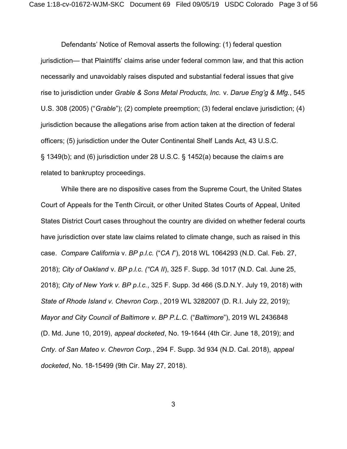Defendants' Notice of Removal asserts the following: (1) federal question jurisdiction— that Plaintiffs' claims arise under federal common law, and that this action necessarily and unavoidably raises disputed and substantial federal issues that give rise to jurisdiction under *Grable & Sons Metal Products, Inc.* v. *Darue Eng'g & Mfg.*, 545 U.S. 308 (2005) ("*Grable*"); (2) complete preemption; (3) federal enclave jurisdiction; (4) jurisdiction because the allegations arise from action taken at the direction of federal officers; (5) jurisdiction under the Outer Continental Shelf Lands Act, 43 U.S.C. § 1349(b); and (6) jurisdiction under 28 U.S.C. § 1452(a) because the claim s are related to bankruptcy proceedings.

While there are no dispositive cases from the Supreme Court, the United States Court of Appeals for the Tenth Circuit, or other United States Courts of Appeal, United States District Court cases throughout the country are divided on whether federal courts have jurisdiction over state law claims related to climate change, such as raised in this case. *Compare California* v. *BP p.l.c.* ("*CA I*"), 2018 WL 1064293 (N.D. Cal. Feb. 27, 2018); *City of Oakland* v. *BP p.l.c. ("CA II*), 325 F. Supp. 3d 1017 (N.D. Cal. June 25, 2018); *City of New York v. BP p.l.c.*, 325 F. Supp. 3d 466 (S.D.N.Y. July 19, 2018) with *State of Rhode Island v. Chevron Corp.*, 2019 WL 3282007 (D. R.I. July 22, 2019); *Mayor and City Council of Baltimore v. BP P.L.C.* ("*Baltimore*"), 2019 WL 2436848 (D. Md. June 10, 2019), *appeal docketed*, No. 19-1644 (4th Cir. June 18, 2019); and *Cnty. of San Mateo v. Chevron Corp.*, 294 F. Supp. 3d 934 (N.D. Cal. 2018), *appeal docketed*, No. 18-15499 (9th Cir. May 27, 2018).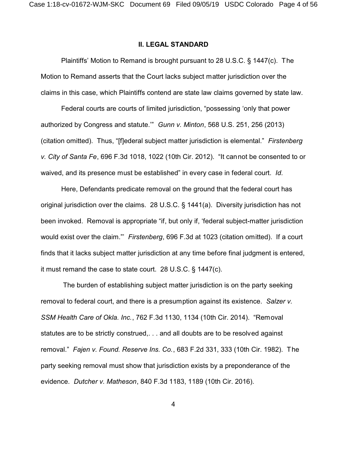### **II. LEGAL STANDARD**

Plaintiffs' Motion to Remand is brought pursuant to 28 U.S.C. § 1447(c). The Motion to Remand asserts that the Court lacks subject matter jurisdiction over the claims in this case, which Plaintiffs contend are state law claims governed by state law.

Federal courts are courts of limited jurisdiction, "possessing 'only that power authorized by Congress and statute.'" *Gunn v. Minton*, 568 U.S. 251, 256 (2013) (citation omitted). Thus, "[f]ederal subject matter jurisdiction is elemental." *Firstenberg v. City of Santa Fe*, 696 F.3d 1018, 1022 (10th Cir. 2012). "It cannot be consented to or waived, and its presence must be established" in every case in federal court. *Id*.

Here, Defendants predicate removal on the ground that the federal court has original jurisdiction over the claims. 28 U.S.C. § 1441(a). Diversity jurisdiction has not been invoked. Removal is appropriate "if, but only if, 'federal subject-matter jurisdiction would exist over the claim."' *Firstenberg*, 696 F.3d at 1023 (citation omitted). If a court finds that it lacks subject matter jurisdiction at any time before final judgment is entered, it must remand the case to state court. 28 U.S.C. § 1447(c).

 The burden of establishing subject matter jurisdiction is on the party seeking removal to federal court, and there is a presumption against its existence. *Salzer v. SSM Health Care of Okla. Inc.*, 762 F.3d 1130, 1134 (10th Cir. 2014). "Removal statutes are to be strictly construed,. . . and all doubts are to be resolved against removal." *Fajen v. Found. Reserve Ins. Co.*, 683 F.2d 331, 333 (10th Cir. 1982). The party seeking removal must show that jurisdiction exists by a preponderance of the evidence. *Dutcher v. Matheson*, 840 F.3d 1183, 1189 (10th Cir. 2016).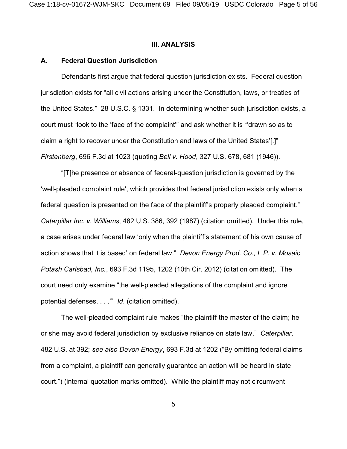### **III. ANALYSIS**

### **A. Federal Question Jurisdiction**

Defendants first argue that federal question jurisdiction exists. Federal question jurisdiction exists for "all civil actions arising under the Constitution, laws, or treaties of the United States." 28 U.S.C. § 1331. In determining whether such jurisdiction exists, a court must "look to the 'face of the complaint'" and ask whether it is "'drawn so as to claim a right to recover under the Constitution and laws of the United States'[.]" *Firstenberg*, 696 F.3d at 1023 (quoting *Bell v. Hood*, 327 U.S. 678, 681 (1946)).

"[T]he presence or absence of federal-question jurisdiction is governed by the 'well-pleaded complaint rule', which provides that federal jurisdiction exists only when a federal question is presented on the face of the plaintiff's properly pleaded complaint." *Caterpillar Inc. v. Williams*, 482 U.S. 386, 392 (1987) (citation omitted). Under this rule, a case arises under federal law 'only when the plaintiff's statement of his own cause of action shows that it is based' on federal law." *Devon Energy Prod. Co., L.P. v. Mosaic Potash Carlsbad, Inc.*, 693 F.3d 1195, 1202 (10th Cir. 2012) (citation omitted). The court need only examine "the well-pleaded allegations of the complaint and ignore potential defenses. . . .'" *Id*. (citation omitted).

The well-pleaded complaint rule makes "the plaintiff the master of the claim; he or she may avoid federal jurisdiction by exclusive reliance on state law." *Caterpillar*, 482 U.S. at 392; *see also Devon Energy*, 693 F.3d at 1202 ("By omitting federal claims from a complaint, a plaintiff can generally guarantee an action will be heard in state court.") (internal quotation marks omitted). While the plaintiff may not circumvent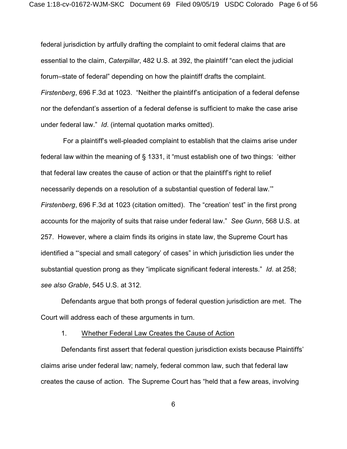federal jurisdiction by artfully drafting the complaint to omit federal claims that are essential to the claim, *Caterpillar*, 482 U.S. at 392, the plaintiff "can elect the judicial forum–state of federal" depending on how the plaintiff drafts the complaint. *Firstenberg*, 696 F.3d at 1023. "Neither the plaintiff's anticipation of a federal defense nor the defendant's assertion of a federal defense is sufficient to make the case arise under federal law." *Id*. (internal quotation marks omitted).

 For a plaintiff's well-pleaded complaint to establish that the claims arise under federal law within the meaning of § 1331, it "must establish one of two things: 'either that federal law creates the cause of action or that the plaintiff's right to relief necessarily depends on a resolution of a substantial question of federal law.'" *Firstenberg*, 696 F.3d at 1023 (citation omitted). The "creation' test" in the first prong accounts for the majority of suits that raise under federal law." *See Gunn*, 568 U.S. at 257. However, where a claim finds its origins in state law, the Supreme Court has identified a "'special and small category' of cases" in which jurisdiction lies under the substantial question prong as they "implicate significant federal interests." *Id*. at 258; *see also Grable*, 545 U.S. at 312.

Defendants argue that both prongs of federal question jurisdiction are met. The Court will address each of these arguments in turn.

## 1. Whether Federal Law Creates the Cause of Action

Defendants first assert that federal question jurisdiction exists because Plaintiffs' claims arise under federal law; namely, federal common law, such that federal law creates the cause of action. The Supreme Court has "held that a few areas, involving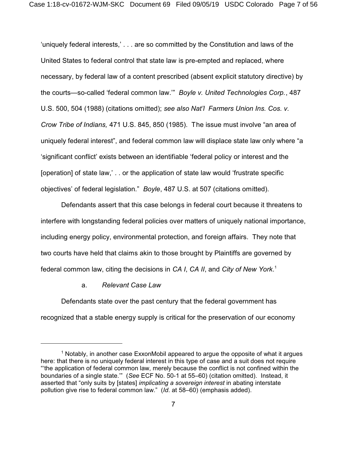'uniquely federal interests,' . . . are so committed by the Constitution and laws of the United States to federal control that state law is pre-empted and replaced, where necessary, by federal law of a content prescribed (absent explicit statutory directive) by the courts—so-called 'federal common law.'" *Boyle v. United Technologies Corp.*, 487 U.S. 500, 504 (1988) (citations omitted); *see also Nat'l Farmers Union Ins. Cos. v. Crow Tribe of Indians,* 471 U.S. 845, 850 (1985). The issue must involve "an area of uniquely federal interest", and federal common law will displace state law only where "a 'significant conflict' exists between an identifiable 'federal policy or interest and the [operation] of state law,' . . or the application of state law would 'frustrate specific objectives' of federal legislation." *Boyle*, 487 U.S. at 507 (citations omitted).

Defendants assert that this case belongs in federal court because it threatens to interfere with longstanding federal policies over matters of uniquely national importance, including energy policy, environmental protection, and foreign affairs. They note that two courts have held that claims akin to those brought by Plaintiffs are governed by federal common law, citing the decisions in *CA I*, *CA II*, and *City of New York*. 1

## a. *Relevant Case Law*

Defendants state over the past century that the federal government has recognized that a stable energy supply is critical for the preservation of our economy

 $1$  Notably, in another case ExxonMobil appeared to argue the opposite of what it argues here: that there is no uniquely federal interest in this type of case and a suit does not require "'the application of federal common law, merely because the conflict is not confined within the boundaries of a single state.'" (*See* ECF No. 50-1 at 55–60) (citation omitted). Instead, it asserted that "only suits by [states] *implicating a sovereign interest* in abating interstate pollution give rise to federal common law." (*Id*. at 58–60) (emphasis added).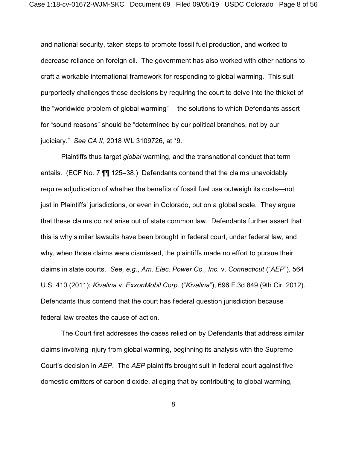and national security, taken steps to promote fossil fuel production, and worked to decrease reliance on foreign oil. The government has also worked with other nations to craft a workable international framework for responding to global warming. This suit purportedly challenges those decisions by requiring the court to delve into the thicket of the "worldwide problem of global warming"— the solutions to which Defendants assert for "sound reasons" should be "determined by our political branches, not by our judiciary." *See CA II*, 2018 WL 3109726, at \*9.

Plaintiffs thus target *global* warming, and the transnational conduct that term entails. (ECF No. 7 ¶¶ 125–38.) Defendants contend that the claims unavoidably require adjudication of whether the benefits of fossil fuel use outweigh its costs—not just in Plaintiffs' jurisdictions, or even in Colorado, but on a global scale. They argue that these claims do not arise out of state common law. Defendants further assert that this is why similar lawsuits have been brought in federal court, under federal law, and why, when those claims were dismissed, the plaintiffs made no effort to pursue their claims in state courts. *See, e.g.*, *Am. Elec. Power Co., Inc.* v. *Connecticut* ("*AEP*"), 564 U.S. 410 (2011); *Kivalina* v. *ExxonMobil Corp.* ("*Kivalina*"), 696 F.3d 849 (9th Cir. 2012). Defendants thus contend that the court has federal question jurisdiction because federal law creates the cause of action.

The Court first addresses the cases relied on by Defendants that address similar claims involving injury from global warming, beginning its analysis with the Supreme Court's decision in *AEP*. The *AEP* plaintiffs brought suit in federal court against five domestic emitters of carbon dioxide, alleging that by contributing to global warming,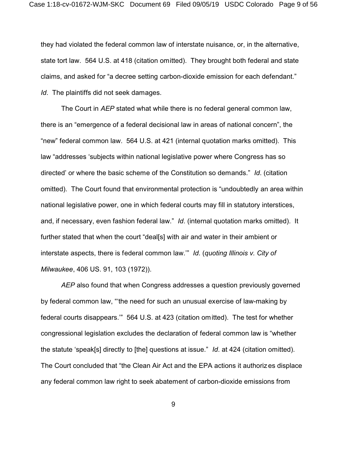they had violated the federal common law of interstate nuisance, or, in the alternative, state tort law. 564 U.S. at 418 (citation omitted). They brought both federal and state claims, and asked for "a decree setting carbon-dioxide emission for each defendant." *Id*. The plaintiffs did not seek damages.

The Court in *AEP* stated what while there is no federal general common law, there is an "emergence of a federal decisional law in areas of national concern", the "new" federal common law. 564 U.S. at 421 (internal quotation marks omitted). This law "addresses 'subjects within national legislative power where Congress has so directed' or where the basic scheme of the Constitution so demands." *Id*. (citation omitted). The Court found that environmental protection is "undoubtedly an area within national legislative power, one in which federal courts may fill in statutory interstices, and, if necessary, even fashion federal law." *Id*. (internal quotation marks omitted). It further stated that when the court "deal[s] with air and water in their ambient or interstate aspects, there is federal common law.'" *Id*. (*quoting Illinois v. City of Milwaukee*, 406 US. 91, 103 (1972)).

*AEP* also found that when Congress addresses a question previously governed by federal common law, "'the need for such an unusual exercise of law-making by federal courts disappears.'" 564 U.S. at 423 (citation omitted). The test for whether congressional legislation excludes the declaration of federal common law is "whether the statute 'speak[s] directly to [the] questions at issue." *Id*. at 424 (citation omitted). The Court concluded that "the Clean Air Act and the EPA actions it authorizes displace any federal common law right to seek abatement of carbon-dioxide emissions from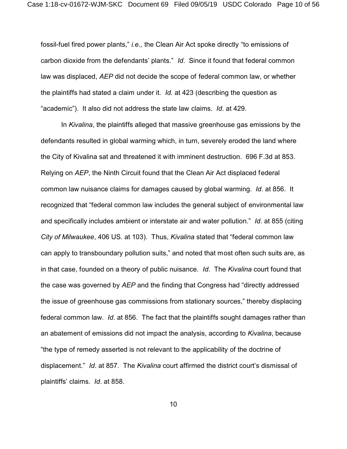fossil-fuel fired power plants," *i.e.,* the Clean Air Act spoke directly "to emissions of carbon dioxide from the defendants' plants." *Id*. Since it found that federal common law was displaced, *AEP* did not decide the scope of federal common law, or whether the plaintiffs had stated a claim under it. *Id.* at 423 (describing the question as "academic"). It also did not address the state law claims. *Id*. at 429.

In *Kivalina*, the plaintiffs alleged that massive greenhouse gas emissions by the defendants resulted in global warming which, in turn, severely eroded the land where the City of Kivalina sat and threatened it with imminent destruction. 696 F.3d at 853. Relying on *AEP*, the Ninth Circuit found that the Clean Air Act displaced federal common law nuisance claims for damages caused by global warming. *Id*. at 856. It recognized that "federal common law includes the general subject of environmental law and specifically includes ambient or interstate air and water pollution." *Id*. at 855 (citing *City of Milwaukee*, 406 US. at 103). Thus, *Kivalina* stated that "federal common law can apply to transboundary pollution suits," and noted that most often such suits are, as in that case, founded on a theory of public nuisance. *Id*. The *Kivalina* court found that the case was governed by *AEP* and the finding that Congress had "directly addressed the issue of greenhouse gas commissions from stationary sources," thereby displacing federal common law. *Id*. at 856. The fact that the plaintiffs sought damages rather than an abatement of emissions did not impact the analysis, according to *Kivalina*, because "the type of remedy asserted is not relevant to the applicability of the doctrine of displacement." *Id*. at 857. The *Kivalina* court affirmed the district court's dismissal of plaintiffs' claims. *Id*. at 858.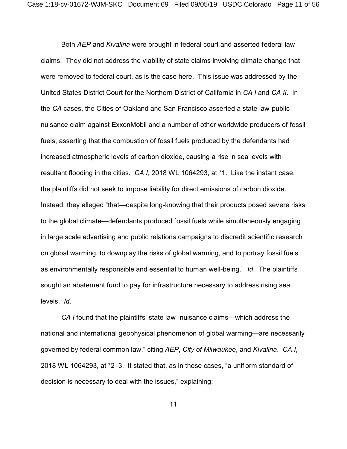Both *AEP* and *Kivalina* were brought in federal court and asserted federal law claims. They did not address the viability of state claims involving climate change that were removed to federal court, as is the case here. This issue was addressed by the United States District Court for the Northern District of California in *CA I* and *CA II*. In the *CA* cases, the Cities of Oakland and San Francisco asserted a state law public nuisance claim against ExxonMobil and a number of other worldwide producers of fossil fuels, asserting that the combustion of fossil fuels produced by the defendants had increased atmospheric levels of carbon dioxide, causing a rise in sea levels with resultant flooding in the cities. *CA I*, 2018 WL 1064293, at \*1. Like the instant case, the plaintiffs did not seek to impose liability for direct emissions of carbon dioxide. Instead, they alleged "that—despite long-knowing that their products posed severe risks to the global climate—defendants produced fossil fuels while simultaneously engaging in large scale advertising and public relations campaigns to discredit scientific research on global warming, to downplay the risks of global warming, and to portray fossil fuels as environmentally responsible and essential to human well-being." *Id*. The plaintiffs sought an abatement fund to pay for infrastructure necessary to address rising sea levels. *Id*.

*CA I* found that the plaintiffs' state law "nuisance claims—which address the national and international geophysical phenomenon of global warming—are necessarily governed by federal common law," citing *AEP*, *City of Milwaukee*, and *Kivalina*. *CA I*, 2018 WL 1064293, at \*2–3. It stated that, as in those cases, "a unif orm standard of decision is necessary to deal with the issues," explaining: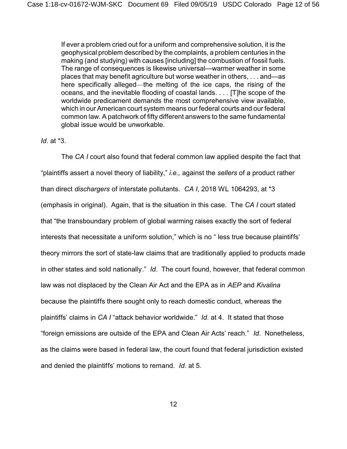If ever a problem cried out for a uniform and comprehensive solution, it is the geophysical problem described by the complaints, a problem centuries in the making (and studying) with causes [including] the combustion of fossil fuels. The range of consequences is likewise universal—warmer weather in some places that may benefit agriculture but worse weather in others, . . . and—as here specifically alleged—the melting of the ice caps, the rising of the oceans, and the inevitable flooding of coastal lands. . . . [T]he scope of the worldwide predicament demands the most comprehensive view available, which in our American court system means our federal courts and our federal common law. A patchwork of fifty different answers to the same fundamental global issue would be unworkable.

### *Id*. at \*3.

The *CA I* court also found that federal common law applied despite the fact that "plaintiffs assert a novel theory of liability," *i.e.,* against the *sellers* of a product rather than direct *dischargers* of interstate pollutants. *CA I*, 2018 WL 1064293, at \*3 (emphasis in original). Again, that is the situation in this case. The *CA I* court stated that "the transboundary problem of global warming raises exactly the sort of federal interests that necessitate a uniform solution," which is no " less true because plaintiffs' theory mirrors the sort of state-law claims that are traditionally applied to products made in other states and sold nationally." *Id*. The court found, however, that federal common law was not displaced by the Clean Air Act and the EPA as in *AEP* and *Kivalina* because the plaintiffs there sought only to reach domestic conduct, whereas the plaintiffs' claims in *CA I* "attack behavior worldwide." *Id*. at 4. It stated that those "foreign emissions are outside of the EPA and Clean Air Acts' reach." *Id*. Nonetheless, as the claims were based in federal law, the court found that federal jurisdiction existed and denied the plaintiffs' motions to remand. *Id*. at 5.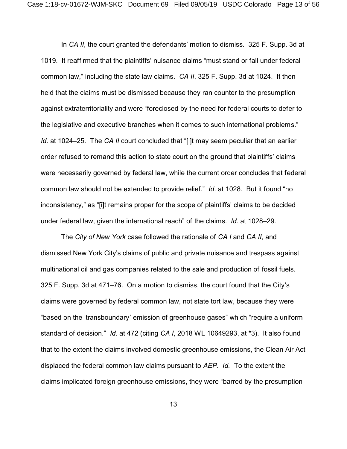In *CA II*, the court granted the defendants' motion to dismiss. 325 F. Supp. 3d at 1019. It reaffirmed that the plaintiffs' nuisance claims "must stand or fall under federal common law," including the state law claims. *CA II*, 325 F. Supp. 3d at 1024. It then held that the claims must be dismissed because they ran counter to the presumption against extraterritoriality and were "foreclosed by the need for federal courts to defer to the legislative and executive branches when it comes to such international problems." *Id*. at 1024–25. The *CA II* court concluded that "[i]t may seem peculiar that an earlier order refused to remand this action to state court on the ground that plaintiffs' claims were necessarily governed by federal law, while the current order concludes that federal common law should not be extended to provide relief." *Id*. at 1028. But it found "no inconsistency," as "[i]t remains proper for the scope of plaintiffs' claims to be decided under federal law, given the international reach" of the claims. *Id*. at 1028–29.

The *City of New York* case followed the rationale of *CA I* and *CA II*, and dismissed New York City's claims of public and private nuisance and trespass against multinational oil and gas companies related to the sale and production of fossil fuels. 325 F. Supp. 3d at 471–76. On a motion to dismiss, the court found that the City's claims were governed by federal common law, not state tort law, because they were "based on the 'transboundary' emission of greenhouse gases" which "require a uniform standard of decision." *Id*. at 472 (citing *CA I*, 2018 WL 10649293, at \*3). It also found that to the extent the claims involved domestic greenhouse emissions, the Clean Air Act displaced the federal common law claims pursuant to *AEP. Id.* To the extent the claims implicated foreign greenhouse emissions, they were "barred by the presumption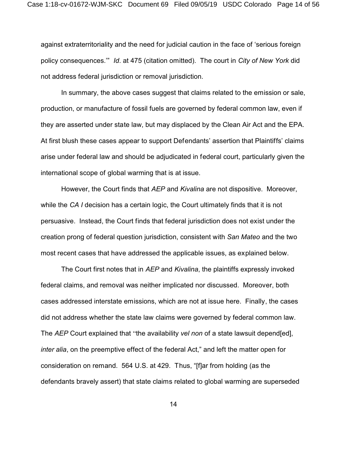against extraterritoriality and the need for judicial caution in the face of 'serious foreign policy consequences.'" *Id*. at 475 (citation omitted). The court in *City of New York* did not address federal jurisdiction or removal jurisdiction.

In summary, the above cases suggest that claims related to the emission or sale, production, or manufacture of fossil fuels are governed by federal common law, even if they are asserted under state law, but may displaced by the Clean Air Act and the EPA. At first blush these cases appear to support Defendants' assertion that Plaintiffs' claims arise under federal law and should be adjudicated in federal court, particularly given the international scope of global warming that is at issue.

However, the Court finds that *AEP* and *Kivalina* are not dispositive. Moreover, while the *CA I* decision has a certain logic, the Court ultimately finds that it is not persuasive. Instead, the Court finds that federal jurisdiction does not exist under the creation prong of federal question jurisdiction, consistent with *San Mateo* and the two most recent cases that have addressed the applicable issues, as explained below.

The Court first notes that in *AEP* and *Kivalina*, the plaintiffs expressly invoked federal claims, and removal was neither implicated nor discussed. Moreover, both cases addressed interstate emissions, which are not at issue here. Finally, the cases did not address whether the state law claims were governed by federal common law. The *AEP* Court explained that "the availability *vel non* of a state lawsuit depend[ed], *inter alia*, on the preemptive effect of the federal Act," and left the matter open for consideration on remand. 564 U.S. at 429. Thus, "[f]ar from holding (as the defendants bravely assert) that state claims related to global warming are superseded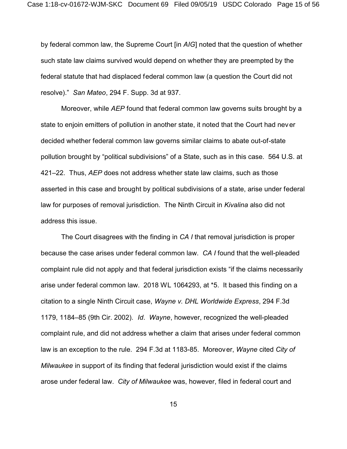by federal common law, the Supreme Court [in *AIG*] noted that the question of whether such state law claims survived would depend on whether they are preempted by the federal statute that had displaced federal common law (a question the Court did not resolve)." *San Mateo*, 294 F. Supp. 3d at 937.

Moreover, while *AEP* found that federal common law governs suits brought by a state to enjoin emitters of pollution in another state, it noted that the Court had never decided whether federal common law governs similar claims to abate out-of-state pollution brought by "political subdivisions" of a State, such as in this case. 564 U.S. at 421–22. Thus, *AEP* does not address whether state law claims, such as those asserted in this case and brought by political subdivisions of a state, arise under federal law for purposes of removal jurisdiction. The Ninth Circuit in *Kivalina* also did not address this issue.

The Court disagrees with the finding in *CA I* that removal jurisdiction is proper because the case arises under federal common law. *CA I* found that the well-pleaded complaint rule did not apply and that federal jurisdiction exists "if the claims necessarily arise under federal common law. 2018 WL 1064293, at \*5. It based this finding on a citation to a single Ninth Circuit case, *Wayne v. DHL Worldwide Express*, 294 F.3d 1179, 1184–85 (9th Cir. 2002). *Id*. *Wayne*, however, recognized the well-pleaded complaint rule, and did not address whether a claim that arises under federal common law is an exception to the rule. 294 F.3d at 1183-85. Moreover, *Wayne* cited *City of Milwaukee* in support of its finding that federal jurisdiction would exist if the claims arose under federal law. *City of Milwaukee* was, however, filed in federal court and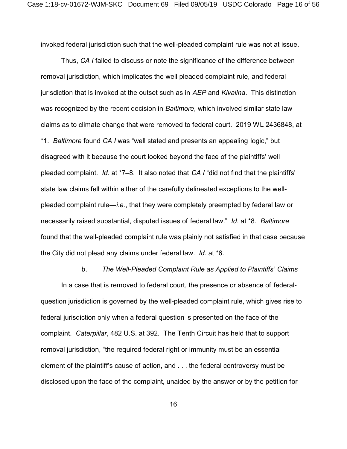invoked federal jurisdiction such that the well-pleaded complaint rule was not at issue.

Thus, *CA I* failed to discuss or note the significance of the difference between removal jurisdiction, which implicates the well pleaded complaint rule, and federal jurisdiction that is invoked at the outset such as in *AEP* and *Kivalina*. This distinction was recognized by the recent decision in *Baltimore*, which involved similar state law claims as to climate change that were removed to federal court. 2019 WL 2436848, at \*1. *Baltimore* found *CA I* was "well stated and presents an appealing logic," but disagreed with it because the court looked beyond the face of the plaintiffs' well pleaded complaint. *Id*. at \*7–8. It also noted that *CA I* "did not find that the plaintiffs' state law claims fell within either of the carefully delineated exceptions to the wellpleaded complaint rule—*i.e.*, that they were completely preempted by federal law or necessarily raised substantial, disputed issues of federal law." *Id*. at \*8. *Baltimore* found that the well-pleaded complaint rule was plainly not satisfied in that case because the City did not plead any claims under federal law. *Id*. at \*6.

### b. *The Well-Pleaded Complaint Rule as Applied to Plaintiffs' Claims*

In a case that is removed to federal court, the presence or absence of federalquestion jurisdiction is governed by the well-pleaded complaint rule, which gives rise to federal jurisdiction only when a federal question is presented on the face of the complaint. *Caterpillar*, 482 U.S. at 392. The Tenth Circuit has held that to support removal jurisdiction, "the required federal right or immunity must be an essential element of the plaintiff's cause of action, and . . . the federal controversy must be disclosed upon the face of the complaint, unaided by the answer or by the petition for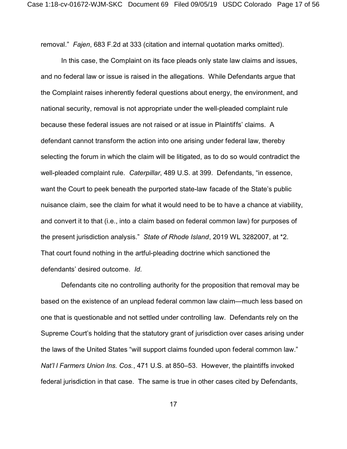removal." *Fajen*, 683 F.2d at 333 (citation and internal quotation marks omitted).

In this case, the Complaint on its face pleads only state law claims and issues, and no federal law or issue is raised in the allegations. While Defendants argue that the Complaint raises inherently federal questions about energy, the environment, and national security, removal is not appropriate under the well-pleaded complaint rule because these federal issues are not raised or at issue in Plaintiffs' claims. A defendant cannot transform the action into one arising under federal law, thereby selecting the forum in which the claim will be litigated, as to do so would contradict the well-pleaded complaint rule. *Caterpillar*, 489 U.S. at 399. Defendants, "in essence, want the Court to peek beneath the purported state-law facade of the State's public nuisance claim, see the claim for what it would need to be to have a chance at viability, and convert it to that (i.e., into a claim based on federal common law) for purposes of the present jurisdiction analysis." *State of Rhode Island*, 2019 WL 3282007, at \*2. That court found nothing in the artful-pleading doctrine which sanctioned the defendants' desired outcome. *Id*.

Defendants cite no controlling authority for the proposition that removal may be based on the existence of an unplead federal common law claim—much less based on one that is questionable and not settled under controlling law. Defendants rely on the Supreme Court's holding that the statutory grant of jurisdiction over cases arising under the laws of the United States "will support claims founded upon federal common law." *Nat'l l Farmers Union Ins. Cos.*, 471 U.S. at 850–53. However, the plaintiffs invoked federal jurisdiction in that case. The same is true in other cases cited by Defendants,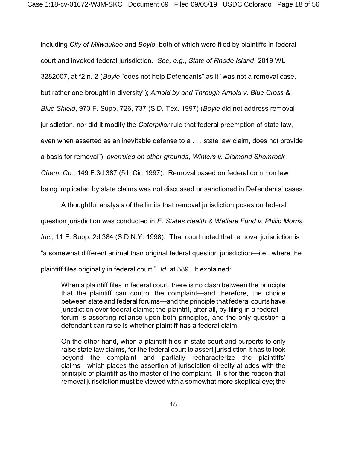including *City of Milwaukee* and *Boyle*, both of which were filed by plaintiffs in federal court and invoked federal jurisdiction. *See, e.g.*, *State of Rhode Island*, 2019 WL 3282007, at \*2 n. 2 (*Boyle* "does not help Defendants" as it "was not a removal case, but rather one brought in diversity"); *Arnold by and Through Arnold v. Blue Cross & Blue Shield*, 973 F. Supp. 726, 737 (S.D. Tex. 1997) (*Boyle* did not address removal jurisdiction, nor did it modify the *Caterpillar* rule that federal preemption of state law, even when asserted as an inevitable defense to a . . . state law claim, does not provide a basis for removal"), *overruled on other grounds*, *Winters v. Diamond Shamrock Chem. Co.*, 149 F.3d 387 (5th Cir. 1997). Removal based on federal common law being implicated by state claims was not discussed or sanctioned in Defendants' cases.

A thoughtful analysis of the limits that removal jurisdiction poses on federal question jurisdiction was conducted in *E. States Health & Welfare Fund v. Philip Morris, Inc.*, 11 F. Supp. 2d 384 (S.D.N.Y. 1998). That court noted that removal jurisdiction is "a somewhat different animal than original federal question jurisdiction—i.e., where the plaintiff files originally in federal court." *Id*. at 389. It explained:

When a plaintiff files in federal court, there is no clash between the principle that the plaintiff can control the complaint—and therefore, the choice between state and federal forums—and the principle that federal courts have jurisdiction over federal claims; the plaintiff, after all, by filing in a federal forum is asserting reliance upon both principles, and the only question a defendant can raise is whether plaintiff has a federal claim.

On the other hand, when a plaintiff files in state court and purports to only raise state law claims, for the federal court to assert jurisdiction it has to look beyond the complaint and partially recharacterize the plaintiffs' claims—which places the assertion of jurisdiction directly at odds with the principle of plaintiff as the master of the complaint. It is for this reason that removal jurisdiction must be viewed with a somewhat more skeptical eye; the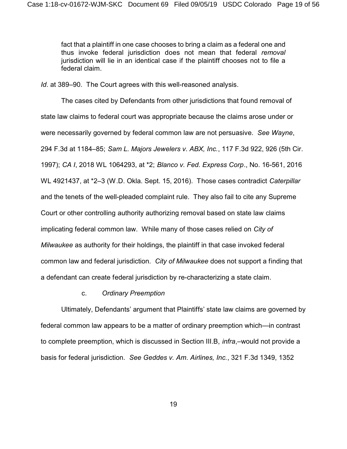fact that a plaintiff in one case chooses to bring a claim as a federal one and thus invoke federal jurisdiction does not mean that federal *removal* jurisdiction will lie in an identical case if the plaintiff chooses not to file a federal claim.

*Id*. at 389–90. The Court agrees with this well-reasoned analysis.

The cases cited by Defendants from other jurisdictions that found removal of state law claims to federal court was appropriate because the claims arose under or were necessarily governed by federal common law are not persuasive. *See Wayne*, 294 F.3d at 1184–85; *Sam L. Majors Jewelers v. ABX, Inc.*, 117 F.3d 922, 926 (5th Cir. 1997); *CA I*, 2018 WL 1064293, at \*2; *Blanco v. Fed. Express Corp*., No. 16-561, 2016 WL 4921437, at \*2–3 (W.D. Okla. Sept. 15, 2016). Those cases contradict *Caterpillar* and the tenets of the well-pleaded complaint rule. They also fail to cite any Supreme Court or other controlling authority authorizing removal based on state law claims implicating federal common law. While many of those cases relied on *City of Milwaukee* as authority for their holdings, the plaintiff in that case invoked federal common law and federal jurisdiction. *City of Milwaukee* does not support a finding that a defendant can create federal jurisdiction by re-characterizing a state claim.

### c. *Ordinary Preemption*

Ultimately, Defendants' argument that Plaintiffs' state law claims are governed by federal common law appears to be a matter of ordinary preemption which—in contrast to complete preemption, which is discussed in Section III.B, *infra*,–would not provide a basis for federal jurisdiction. *See Geddes v. Am. Airlines, Inc.*, 321 F.3d 1349, 1352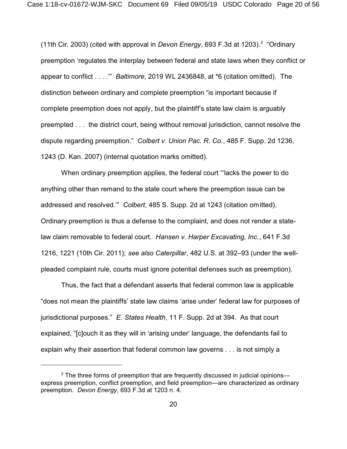(11th Cir. 2003) (cited with approval in *Devon Energy*, 693 F.3d at 1203).<sup>2</sup> "Ordinary preemption 'regulates the interplay between federal and state laws when they conflict or appear to conflict . . . .'" *Baltimore*, 2019 WL 2436848, at \*6 (citation omitted). The distinction between ordinary and complete preemption "is important because if complete preemption does not apply, but the plaintiff's state law claim is arguably preempted . . . the district court, being without removal jurisdiction, cannot resolve the dispute regarding preemption." *Colbert v. Union Pac. R. Co.*, 485 F. Supp. 2d 1236, 1243 (D. Kan. 2007) (internal quotation marks omitted).

When ordinary preemption applies, the federal court "'lacks the power to do anything other than remand to the state court where the preemption issue can be addressed and resolved.'" *Colbert*, 485 S. Supp. 2d at 1243 (citation omitted). Ordinary preemption is thus a defense to the complaint, and does not render a statelaw claim removable to federal court. *Hansen v. Harper Excavating, Inc.*, 641 F.3d 1216, 1221 (10th Cir. 2011); *see also Caterpillar*, 482 U.S. at 392–93 (under the wellpleaded complaint rule, courts must ignore potential defenses such as preemption).

Thus, the fact that a defendant asserts that federal common law is applicable "does not mean the plaintiffs' state law claims 'arise under' federal law for purposes of jurisdictional purposes." *E. States Health*, 11 F. Supp. 2d at 394. As that court explained, "[c]ouch it as they will in 'arising under' language, the defendants fail to explain why their assertion that federal common law governs . . . is not simply a

 $2$  The three forms of preemption that are frequently discussed in judicial opinions express preemption, conflict preemption, and field preemption—are characterized as ordinary preemption. *Devon Energy*, 693 F.3d at 1203 n. 4.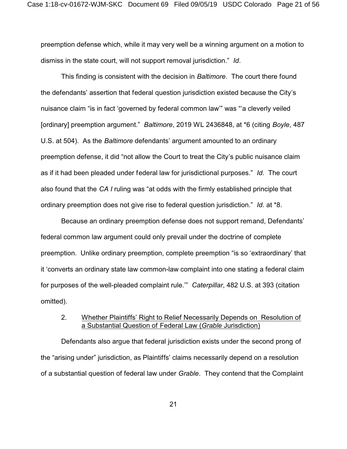preemption defense which, while it may very well be a winning argument on a motion to dismiss in the state court, will not support removal jurisdiction." *Id*.

This finding is consistent with the decision in *Baltimore*. The court there found the defendants' assertion that federal question jurisdiction existed because the City's nuisance claim "is in fact 'governed by federal common law'" was "'a cleverly veiled [ordinary] preemption argument." *Baltimore*, 2019 WL 2436848, at \*6 (citing *Boyle*, 487 U.S. at 504). As the *Baltimore* defendants' argument amounted to an ordinary preemption defense, it did "not allow the Court to treat the City's public nuisance claim as if it had been pleaded under federal law for jurisdictional purposes." *Id*. The court also found that the *CA I* ruling was "at odds with the firmly established principle that ordinary preemption does not give rise to federal question jurisdiction." *Id*. at \*8.

Because an ordinary preemption defense does not support remand, Defendants' federal common law argument could only prevail under the doctrine of complete preemption. Unlike ordinary preemption, complete preemption "is so 'extraordinary' that it 'converts an ordinary state law common-law complaint into one stating a federal claim for purposes of the well-pleaded complaint rule.'" *Caterpillar*, 482 U.S. at 393 (citation omitted).

# 2. Whether Plaintiffs' Right to Relief Necessarily Depends on Resolution of a Substantial Question of Federal Law (*Grable* Jurisdiction)

Defendants also argue that federal jurisdiction exists under the second prong of the "arising under" jurisdiction, as Plaintiffs' claims necessarily depend on a resolution of a substantial question of federal law under *Grable*. They contend that the Complaint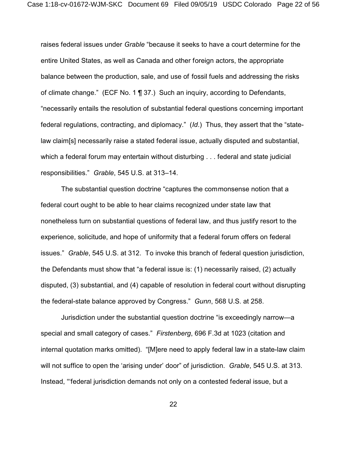raises federal issues under *Grable* "because it seeks to have a court determine for the entire United States, as well as Canada and other foreign actors, the appropriate balance between the production, sale, and use of fossil fuels and addressing the risks of climate change." (ECF No. 1 ¶ 37.) Such an inquiry, according to Defendants, "necessarily entails the resolution of substantial federal questions concerning important federal regulations, contracting, and diplomacy." (*Id*.) Thus, they assert that the "statelaw claim[s] necessarily raise a stated federal issue, actually disputed and substantial, which a federal forum may entertain without disturbing . . . federal and state judicial responsibilities." *Grable*, 545 U.S. at 313–14.

The substantial question doctrine "captures the commonsense notion that a federal court ought to be able to hear claims recognized under state law that nonetheless turn on substantial questions of federal law, and thus justify resort to the experience, solicitude, and hope of uniformity that a federal forum offers on federal issues." *Grable*, 545 U.S. at 312. To invoke this branch of federal question jurisdiction, the Defendants must show that "a federal issue is: (1) necessarily raised, (2) actually disputed, (3) substantial, and (4) capable of resolution in federal court without disrupting the federal-state balance approved by Congress." *Gunn*, 568 U.S. at 258.

Jurisdiction under the substantial question doctrine "is exceedingly narrow—a special and small category of cases." *Firstenberg*, 696 F.3d at 1023 (citation and internal quotation marks omitted). "[M]ere need to apply federal law in a state-law claim will not suffice to open the 'arising under' door" of jurisdiction. *Grable*, 545 U.S. at 313. Instead, "'federal jurisdiction demands not only on a contested federal issue, but a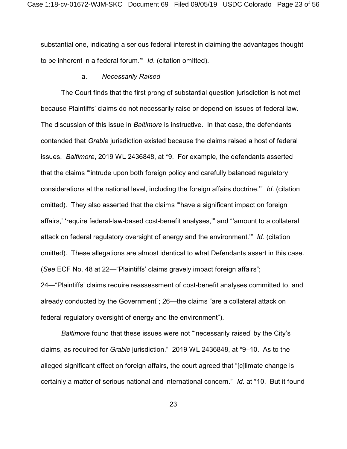substantial one, indicating a serious federal interest in claiming the advantages thought to be inherent in a federal forum.'" *Id*. (citation omitted).

#### a. *Necessarily Raised*

The Court finds that the first prong of substantial question jurisdiction is not met because Plaintiffs' claims do not necessarily raise or depend on issues of federal law. The discussion of this issue in *Baltimore* is instructive. In that case, the defendants contended that *Grable* jurisdiction existed because the claims raised a host of federal issues. *Baltimore*, 2019 WL 2436848, at \*9. For example, the defendants asserted that the claims "'intrude upon both foreign policy and carefully balanced regulatory considerations at the national level, including the foreign affairs doctrine.'" *Id*. (citation omitted). They also asserted that the claims "'have a significant impact on foreign affairs,' 'require federal-law-based cost-benefit analyses,'" and "'amount to a collateral attack on federal regulatory oversight of energy and the environment.'" *Id*. (citation omitted). These allegations are almost identical to what Defendants assert in this case. (*See* ECF No. 48 at 22—"Plaintiffs' claims gravely impact foreign affairs"; 24—"Plaintiffs' claims require reassessment of cost-benefit analyses committed to, and already conducted by the Government"; 26—the claims "are a collateral attack on federal regulatory oversight of energy and the environment").

*Baltimore* found that these issues were not "'necessarily raised' by the City's claims, as required for *Grable* jurisdiction." 2019 WL 2436848, at \*9–10. As to the alleged significant effect on foreign affairs, the court agreed that "[c]limate change is certainly a matter of serious national and international concern." *Id*. at \*10. But it found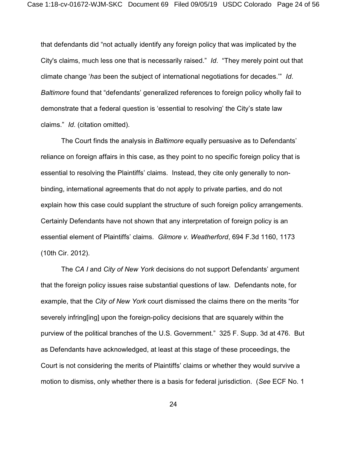that defendants did "not actually identify any foreign policy that was implicated by the City's claims, much less one that is necessarily raised." *Id*. "They merely point out that climate change '*has* been the subject of international negotiations for decades.'" *Id*. *Baltimore* found that "defendants' generalized references to foreign policy wholly fail to demonstrate that a federal question is 'essential to resolving' the City's state law claims." *Id*. (citation omitted).

The Court finds the analysis in *Baltimore* equally persuasive as to Defendants' reliance on foreign affairs in this case, as they point to no specific foreign policy that is essential to resolving the Plaintiffs' claims. Instead, they cite only generally to nonbinding, international agreements that do not apply to private parties, and do not explain how this case could supplant the structure of such foreign policy arrangements. Certainly Defendants have not shown that any interpretation of foreign policy is an essential element of Plaintiffs' claims. *Gilmore v. Weatherford*, 694 F.3d 1160, 1173 (10th Cir. 2012).

The *CA I* and *City of New York* decisions do not support Defendants' argument that the foreign policy issues raise substantial questions of law. Defendants note, for example, that the *City of New York* court dismissed the claims there on the merits "for severely infring[ing] upon the foreign-policy decisions that are squarely within the purview of the political branches of the U.S. Government." 325 F. Supp. 3d at 476. But as Defendants have acknowledged, at least at this stage of these proceedings, the Court is not considering the merits of Plaintiffs' claims or whether they would survive a motion to dismiss, only whether there is a basis for federal jurisdiction. (*See* ECF No. 1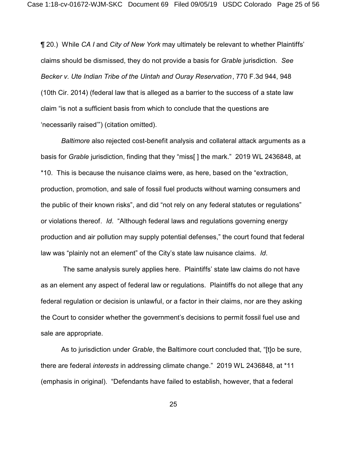¶ 20.) While *CA I* and *City of New York* may ultimately be relevant to whether Plaintiffs' claims should be dismissed, they do not provide a basis for *Grable* jurisdiction. *See Becker v. Ute Indian Tribe of the Uintah and Ouray Reservation*, 770 F.3d 944, 948 (10th Cir. 2014) (federal law that is alleged as a barrier to the success of a state law claim "is not a sufficient basis from which to conclude that the questions are 'necessarily raised'") (citation omitted).

*Baltimore* also rejected cost-benefit analysis and collateral attack arguments as a basis for *Grable* jurisdiction, finding that they "miss[ ] the mark." 2019 WL 2436848, at \*10. This is because the nuisance claims were, as here, based on the "extraction, production, promotion, and sale of fossil fuel products without warning consumers and the public of their known risks", and did "not rely on any federal statutes or regulations" or violations thereof. *Id*. "Although federal laws and regulations governing energy production and air pollution may supply potential defenses," the court found that federal law was "plainly not an element" of the City's state law nuisance claims. *Id*.

 The same analysis surely applies here. Plaintiffs' state law claims do not have as an element any aspect of federal law or regulations. Plaintiffs do not allege that any federal regulation or decision is unlawful, or a factor in their claims, nor are they asking the Court to consider whether the government's decisions to permit fossil fuel use and sale are appropriate.

As to jurisdiction under *Grable*, the Baltimore court concluded that, "[t]o be sure, there are federal *interests* in addressing climate change." 2019 WL 2436848, at \*11 (emphasis in original). "Defendants have failed to establish, however, that a federal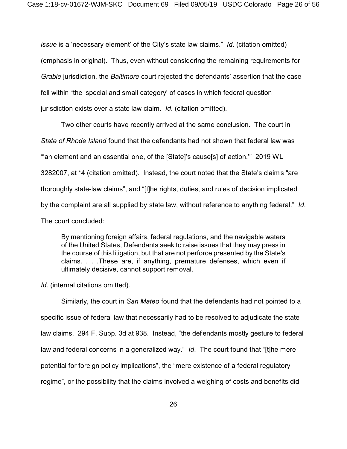*issue* is a 'necessary element' of the City's state law claims." *Id*. (citation omitted) (emphasis in original). Thus, even without considering the remaining requirements for *Grable* jurisdiction, the *Baltimore* court rejected the defendants' assertion that the case fell within "the 'special and small category' of cases in which federal question jurisdiction exists over a state law claim. *Id*. (citation omitted).

Two other courts have recently arrived at the same conclusion. The court in *State of Rhode Island* found that the defendants had not shown that federal law was "'an element and an essential one, of the [State]'s cause[s] of action.'" 2019 WL 3282007, at \*4 (citation omitted). Instead, the court noted that the State's claims "are thoroughly state-law claims", and "[t]he rights, duties, and rules of decision implicated by the complaint are all supplied by state law, without reference to anything federal." *Id*. The court concluded:

By mentioning foreign affairs, federal regulations, and the navigable waters of the United States, Defendants seek to raise issues that they may press in the course of this litigation, but that are not perforce presented by the State's claims. . . .These are, if anything, premature defenses, which even if ultimately decisive, cannot support removal.

*Id*. (internal citations omitted).

Similarly, the court in *San Mateo* found that the defendants had not pointed to a specific issue of federal law that necessarily had to be resolved to adjudicate the state law claims. 294 F. Supp. 3d at 938. Instead, "the defendants mostly gesture to federal law and federal concerns in a generalized way." *Id*. The court found that "[t]he mere potential for foreign policy implications", the "mere existence of a federal regulatory regime", or the possibility that the claims involved a weighing of costs and benefits did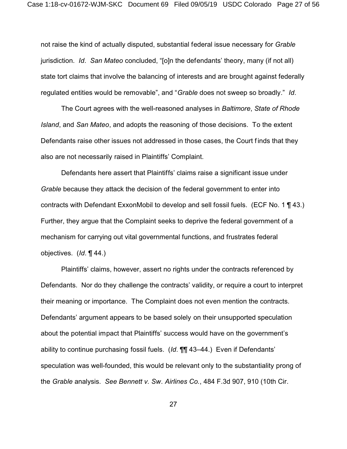not raise the kind of actually disputed, substantial federal issue necessary for *Grable* jurisdiction. *Id*. *San Mateo* concluded, "[o]n the defendants' theory, many (if not all) state tort claims that involve the balancing of interests and are brought against federally regulated entities would be removable", and "*Grable* does not sweep so broadly." *Id*.

The Court agrees with the well-reasoned analyses in *Baltimore*, *State of Rhode Island*, and *San Mateo*, and adopts the reasoning of those decisions. To the extent Defendants raise other issues not addressed in those cases, the Court finds that they also are not necessarily raised in Plaintiffs' Complaint.

Defendants here assert that Plaintiffs' claims raise a significant issue under *Grable* because they attack the decision of the federal government to enter into contracts with Defendant ExxonMobil to develop and sell fossil fuels. (ECF No. 1 ¶ 43.) Further, they argue that the Complaint seeks to deprive the federal government of a mechanism for carrying out vital governmental functions, and frustrates federal objectives. (*Id*. ¶ 44.)

Plaintiffs' claims, however, assert no rights under the contracts referenced by Defendants. Nor do they challenge the contracts' validity, or require a court to interpret their meaning or importance. The Complaint does not even mention the contracts. Defendants' argument appears to be based solely on their unsupported speculation about the potential impact that Plaintiffs' success would have on the government's ability to continue purchasing fossil fuels. (*Id*. ¶¶ 43–44.) Even if Defendants' speculation was well-founded, this would be relevant only to the substantiality prong of the *Grable* analysis. *See Bennett v. Sw. Airlines Co.*, 484 F.3d 907, 910 (10th Cir.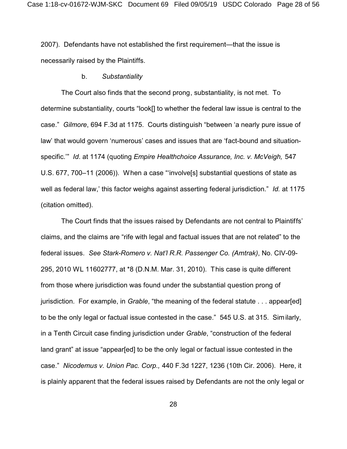2007). Defendants have not established the first requirement—that the issue is necessarily raised by the Plaintiffs.

#### b. *Substantiality*

The Court also finds that the second prong, substantiality, is not met. To determine substantiality, courts "look[] to whether the federal law issue is central to the case." *Gilmore*, 694 F.3d at 1175. Courts distinguish "between 'a nearly pure issue of law' that would govern 'numerous' cases and issues that are 'fact-bound and situationspecific.'" *Id*. at 1174 (quoting *Empire Healthchoice Assurance, Inc. v. McVeigh,* 547 U.S. 677, 700–11 (2006)). When a case "'involve[s] substantial questions of state as well as federal law,' this factor weighs against asserting federal jurisdiction." *Id.* at 1175 (citation omitted).

The Court finds that the issues raised by Defendants are not central to Plaintiffs' claims, and the claims are "rife with legal and factual issues that are not related" to the federal issues. *See Stark-Romero v. Nat'l R.R. Passenger Co. (Amtrak)*, No. CIV-09- 295, 2010 WL 11602777, at \*8 (D.N.M. Mar. 31, 2010). This case is quite different from those where jurisdiction was found under the substantial question prong of jurisdiction. For example, in *Grable*, "the meaning of the federal statute . . . appear[ed] to be the only legal or factual issue contested in the case." 545 U.S. at 315. Similarly, in a Tenth Circuit case finding jurisdiction under *Grable*, "construction of the federal land grant" at issue "appear[ed] to be the only legal or factual issue contested in the case." *Nicodemus v. Union Pac. Corp.,* 440 F.3d 1227, 1236 (10th Cir. 2006). Here, it is plainly apparent that the federal issues raised by Defendants are not the only legal or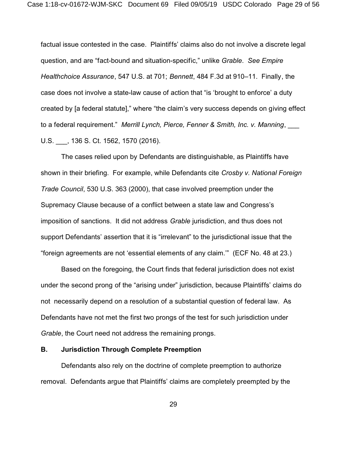factual issue contested in the case. Plaintiffs' claims also do not involve a discrete legal question, and are "fact-bound and situation-specific," unlike *Grable*. *See Empire Healthchoice Assurance*, 547 U.S. at 701; *Bennett*, 484 F.3d at 910–11. Finally, the case does not involve a state-law cause of action that "is 'brought to enforce' a duty created by [a federal statute]," where "the claim's very success depends on giving effect to a federal requirement." Merrill Lynch, Pierce, Fenner & Smith, Inc. v. Manning, U.S. \_\_\_, 136 S. Ct. 1562, 1570 (2016).

The cases relied upon by Defendants are distinguishable, as Plaintiffs have shown in their briefing. For example, while Defendants cite *Crosby v. National Foreign Trade Council*, 530 U.S. 363 (2000), that case involved preemption under the Supremacy Clause because of a conflict between a state law and Congress's imposition of sanctions. It did not address *Grable* jurisdiction, and thus does not support Defendants' assertion that it is "irrelevant" to the jurisdictional issue that the "foreign agreements are not 'essential elements of any claim.'" (ECF No. 48 at 23.)

Based on the foregoing, the Court finds that federal jurisdiction does not exist under the second prong of the "arising under" jurisdiction, because Plaintiffs' claims do not necessarily depend on a resolution of a substantial question of federal law. As Defendants have not met the first two prongs of the test for such jurisdiction under *Grable*, the Court need not address the remaining prongs.

## **B. Jurisdiction Through Complete Preemption**

Defendants also rely on the doctrine of complete preemption to authorize removal. Defendants argue that Plaintiffs' claims are completely preempted by the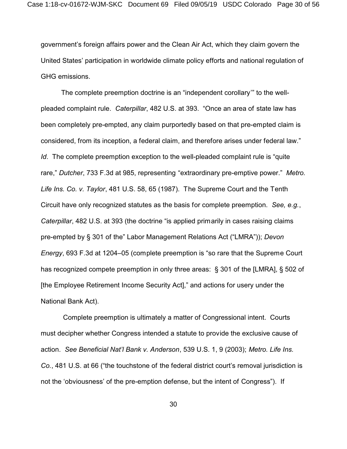government's foreign affairs power and the Clean Air Act, which they claim govern the United States' participation in worldwide climate policy efforts and national regulation of GHG emissions.

The complete preemption doctrine is an "independent corollary'" to the wellpleaded complaint rule. *Caterpillar*, 482 U.S. at 393. "Once an area of state law has been completely pre-empted, any claim purportedly based on that pre-empted claim is considered, from its inception, a federal claim, and therefore arises under federal law." *Id*. The complete preemption exception to the well-pleaded complaint rule is "quite rare," *Dutcher*, 733 F.3d at 985, representing "extraordinary pre-emptive power." *Metro. Life Ins. Co. v. Taylor*, 481 U.S. 58, 65 (1987). The Supreme Court and the Tenth Circuit have only recognized statutes as the basis for complete preemption. *See, e.g.*, *Caterpillar*, 482 U.S. at 393 (the doctrine "is applied primarily in cases raising claims pre-empted by § 301 of the" Labor Management Relations Act ("LMRA")); *Devon Energy*, 693 F.3d at 1204–05 (complete preemption is "so rare that the Supreme Court has recognized compete preemption in only three areas: § 301 of the [LMRA], § 502 of [the Employee Retirement Income Security Act]," and actions for usery under the National Bank Act).

 Complete preemption is ultimately a matter of Congressional intent. Courts must decipher whether Congress intended a statute to provide the exclusive cause of action. *See Beneficial Nat'l Bank v. Anderson*, 539 U.S. 1, 9 (2003); *Metro. Life Ins. Co.*, 481 U.S. at 66 ("the touchstone of the federal district court's removal jurisdiction is not the 'obviousness' of the pre-emption defense, but the intent of Congress"). If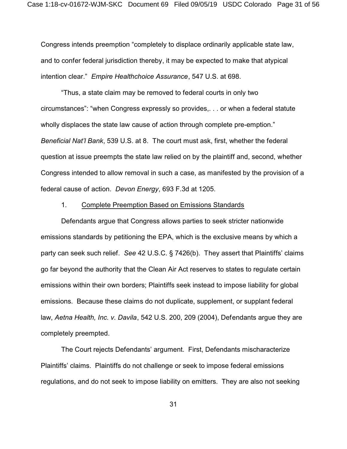Congress intends preemption "completely to displace ordinarily applicable state law, and to confer federal jurisdiction thereby, it may be expected to make that atypical intention clear." *Empire Healthchoice Assurance*, 547 U.S. at 698.

"Thus, a state claim may be removed to federal courts in only two circumstances": "when Congress expressly so provides,. . . or when a federal statute wholly displaces the state law cause of action through complete pre-emption." *Beneficial Nat'l Bank*, 539 U.S. at 8. The court must ask, first, whether the federal question at issue preempts the state law relied on by the plaintiff and, second, whether Congress intended to allow removal in such a case, as manifested by the provision of a federal cause of action. *Devon Energy*, 693 F.3d at 1205.

### 1. Complete Preemption Based on Emissions Standards

Defendants argue that Congress allows parties to seek stricter nationwide emissions standards by petitioning the EPA, which is the exclusive means by which a party can seek such relief. *See* 42 U.S.C. § 7426(b). They assert that Plaintiffs' claims go far beyond the authority that the Clean Air Act reserves to states to regulate certain emissions within their own borders; Plaintiffs seek instead to impose liability for global emissions. Because these claims do not duplicate, supplement, or supplant federal law, *Aetna Health, Inc. v. Davila*, 542 U.S. 200, 209 (2004), Defendants argue they are completely preempted.

The Court rejects Defendants' argument. First, Defendants mischaracterize Plaintiffs' claims. Plaintiffs do not challenge or seek to impose federal emissions regulations, and do not seek to impose liability on emitters. They are also not seeking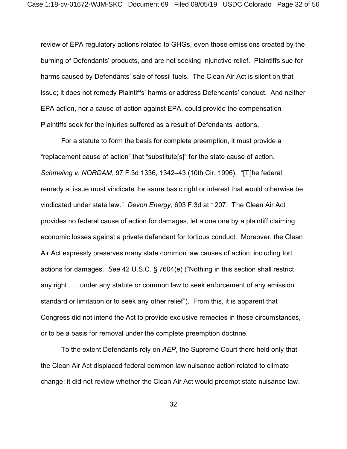review of EPA regulatory actions related to GHGs, even those emissions created by the burning of Defendants' products, and are not seeking injunctive relief. Plaintiffs sue for harms caused by Defendants' sale of fossil fuels. The Clean Air Act is silent on that issue; it does not remedy Plaintiffs' harms or address Defendants' conduct. And neither EPA action, nor a cause of action against EPA, could provide the compensation Plaintiffs seek for the injuries suffered as a result of Defendants' actions.

For a statute to form the basis for complete preemption, it must provide a "replacement cause of action" that "substitute[s]" for the state cause of action. *Schmeling v. NORDAM*, 97 F.3d 1336, 1342–43 (10th Cir. 1996). "[T]he federal remedy at issue must vindicate the same basic right or interest that would otherwise be vindicated under state law." *Devon Energy*, 693 F.3d at 1207. The Clean Air Act provides no federal cause of action for damages, let alone one by a plaintiff claiming economic losses against a private defendant for tortious conduct. Moreover, the Clean Air Act expressly preserves many state common law causes of action, including tort actions for damages. *See* 42 U.S.C. § 7604(e) ("Nothing in this section shall restrict any right . . . under any statute or common law to seek enforcement of any emission standard or limitation or to seek any other relief"). From this, it is apparent that Congress did not intend the Act to provide exclusive remedies in these circumstances, or to be a basis for removal under the complete preemption doctrine.

To the extent Defendants rely on *AEP*, the Supreme Court there held only that the Clean Air Act displaced federal common law nuisance action related to climate change; it did not review whether the Clean Air Act would preempt state nuisance law.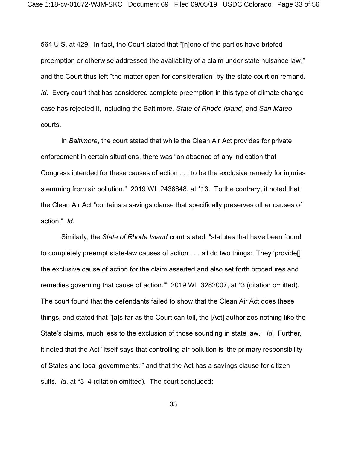564 U.S. at 429. In fact, the Court stated that "[n]one of the parties have briefed preemption or otherwise addressed the availability of a claim under state nuisance law," and the Court thus left "the matter open for consideration" by the state court on remand. *Id.* Every court that has considered complete preemption in this type of climate change case has rejected it, including the Baltimore, *State of Rhode Island*, and *San Mateo* courts.

In *Baltimore*, the court stated that while the Clean Air Act provides for private enforcement in certain situations, there was "an absence of any indication that Congress intended for these causes of action . . . to be the exclusive remedy for injuries stemming from air pollution." 2019 WL 2436848, at \*13. To the contrary, it noted that the Clean Air Act "contains a savings clause that specifically preserves other causes of action." *Id*.

Similarly, the *State of Rhode Island* court stated, "statutes that have been found to completely preempt state-law causes of action . . . all do two things: They 'provide[] the exclusive cause of action for the claim asserted and also set forth procedures and remedies governing that cause of action.'" 2019 WL 3282007, at \*3 (citation omitted). The court found that the defendants failed to show that the Clean Air Act does these things, and stated that "[a]s far as the Court can tell, the [Act] authorizes nothing like the State's claims, much less to the exclusion of those sounding in state law." *Id*. Further, it noted that the Act "itself says that controlling air pollution is 'the primary responsibility of States and local governments,'" and that the Act has a savings clause for citizen suits. *Id*. at \*3–4 (citation omitted). The court concluded: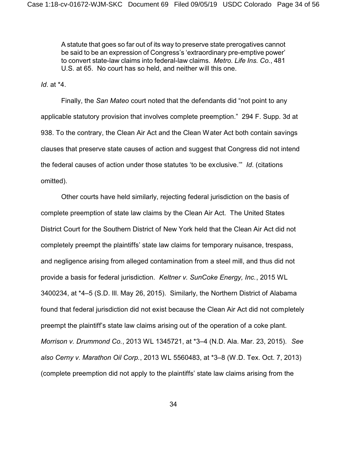A statute that goes so far out of its way to preserve state prerogatives cannot be said to be an expression of Congress's 'extraordinary pre-emptive power' to convert state-law claims into federal-law claims. *Metro. Life Ins. Co.*, 481 U.S. at 65. No court has so held, and neither will this one.

*Id*. at \*4.

Finally, the *San Mateo* court noted that the defendants did "not point to any applicable statutory provision that involves complete preemption." 294 F. Supp. 3d at 938. To the contrary, the Clean Air Act and the Clean Water Act both contain savings clauses that preserve state causes of action and suggest that Congress did not intend the federal causes of action under those statutes 'to be exclusive.'" *Id*. (citations omitted).

Other courts have held similarly, rejecting federal jurisdiction on the basis of complete preemption of state law claims by the Clean Air Act. The United States District Court for the Southern District of New York held that the Clean Air Act did not completely preempt the plaintiffs' state law claims for temporary nuisance, trespass, and negligence arising from alleged contamination from a steel mill, and thus did not provide a basis for federal jurisdiction. *Keltner v. SunCoke Energy, Inc.*, 2015 WL 3400234, at \*4–5 (S.D. Ill. May 26, 2015). Similarly, the Northern District of Alabama found that federal jurisdiction did not exist because the Clean Air Act did not completely preempt the plaintiff's state law claims arising out of the operation of a coke plant. *Morrison v. Drummond Co.*, 2013 WL 1345721, at \*3–4 (N.D. Ala. Mar. 23, 2015). *See also Cerny v. Marathon Oil Corp.*, 2013 WL 5560483, at \*3–8 (W.D. Tex. Oct. 7, 2013) (complete preemption did not apply to the plaintiffs' state law claims arising from the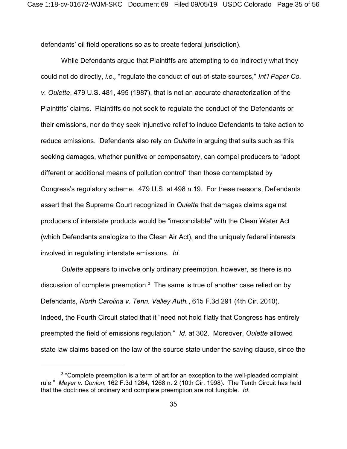defendants' oil field operations so as to create federal jurisdiction).

While Defendants argue that Plaintiffs are attempting to do indirectly what they could not do directly, *i.e.,* "regulate the conduct of out-of-state sources," *Int'l Paper Co. v. Oulette*, 479 U.S. 481, 495 (1987), that is not an accurate characterization of the Plaintiffs' claims. Plaintiffs do not seek to regulate the conduct of the Defendants or their emissions, nor do they seek injunctive relief to induce Defendants to take action to reduce emissions. Defendants also rely on *Oulette* in arguing that suits such as this seeking damages, whether punitive or compensatory, can compel producers to "adopt different or additional means of pollution control" than those contemplated by Congress's regulatory scheme. 479 U.S. at 498 n.19. For these reasons, Defendants assert that the Supreme Court recognized in *Oulette* that damages claims against producers of interstate products would be "irreconcilable" with the Clean Water Act (which Defendants analogize to the Clean Air Act), and the uniquely federal interests involved in regulating interstate emissions. *Id.*

*Oulette* appears to involve only ordinary preemption, however, as there is no discussion of complete preemption.<sup>3</sup> The same is true of another case relied on by Defendants, *North Carolina v. Tenn. Valley Auth.*, 615 F.3d 291 (4th Cir. 2010). Indeed, the Fourth Circuit stated that it "need not hold flatly that Congress has entirely preempted the field of emissions regulation." *Id*. at 302. Moreover, *Oulette* allowed state law claims based on the law of the source state under the saving clause, since the

 $3$  "Complete preemption is a term of art for an exception to the well-pleaded complaint rule." *Meyer v. Conlon*, 162 F.3d 1264, 1268 n. 2 (10th Cir. 1998). The Tenth Circuit has held that the doctrines of ordinary and complete preemption are not fungible. *Id*.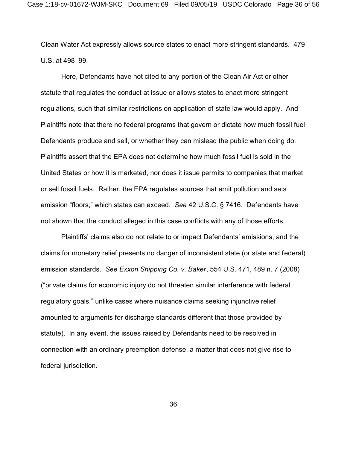Clean Water Act expressly allows source states to enact more stringent standards. 479 U.S. at 498–99.

Here, Defendants have not cited to any portion of the Clean Air Act or other statute that regulates the conduct at issue or allows states to enact more stringent regulations, such that similar restrictions on application of state law would apply. And Plaintiffs note that there no federal programs that govern or dictate how much fossil fuel Defendants produce and sell, or whether they can mislead the public when doing do. Plaintiffs assert that the EPA does not determine how much fossil fuel is sold in the United States or how it is marketed, nor does it issue permits to companies that market or sell fossil fuels. Rather, the EPA regulates sources that emit pollution and sets emission "floors," which states can exceed. *See* 42 U.S.C. § 7416. Defendants have not shown that the conduct alleged in this case conflicts with any of those efforts.

Plaintiffs' claims also do not relate to or impact Defendants' emissions, and the claims for monetary relief presents no danger of inconsistent state (or state and federal) emission standards. *See Exxon Shipping Co. v. Baker*, 554 U.S. 471, 489 n. 7 (2008) ("private claims for economic injury do not threaten similar interference with federal regulatory goals," unlike cases where nuisance claims seeking injunctive relief amounted to arguments for discharge standards different that those provided by statute). In any event, the issues raised by Defendants need to be resolved in connection with an ordinary preemption defense, a matter that does not give rise to federal jurisdiction.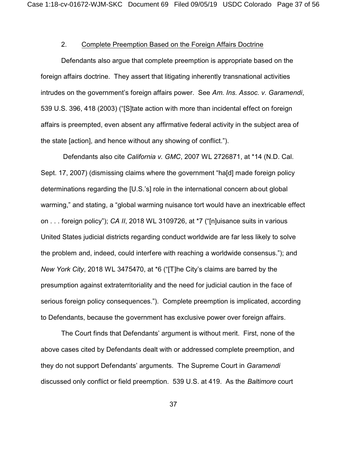# 2. Complete Preemption Based on the Foreign Affairs Doctrine

Defendants also argue that complete preemption is appropriate based on the foreign affairs doctrine. They assert that litigating inherently transnational activities intrudes on the government's foreign affairs power. See *Am. Ins. Assoc. v. Garamendi*, 539 U.S. 396, 418 (2003) ("[S]tate action with more than incidental effect on foreign affairs is preempted, even absent any affirmative federal activity in the subject area of the state [action], and hence without any showing of conflict.").

 Defendants also cite *California v. GMC*, 2007 WL 2726871, at \*14 (N.D. Cal. Sept. 17, 2007) (dismissing claims where the government "ha[d] made foreign policy determinations regarding the [U.S.'s] role in the international concern about global warming," and stating, a "global warming nuisance tort would have an inextricable effect on . . . foreign policy"); *CA II*, 2018 WL 3109726, at \*7 ("[n]uisance suits in various United States judicial districts regarding conduct worldwide are far less likely to solve the problem and, indeed, could interfere with reaching a worldwide consensus."); and *New York City*, 2018 WL 3475470, at \*6 ("[T]he City's claims are barred by the presumption against extraterritoriality and the need for judicial caution in the face of serious foreign policy consequences."). Complete preemption is implicated, according to Defendants, because the government has exclusive power over foreign affairs.

The Court finds that Defendants' argument is without merit. First, none of the above cases cited by Defendants dealt with or addressed complete preemption, and they do not support Defendants' arguments. The Supreme Court in *Garamendi* discussed only conflict or field preemption. 539 U.S. at 419. As the *Baltimore* court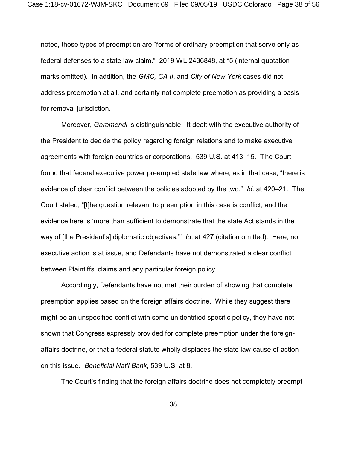noted, those types of preemption are "forms of ordinary preemption that serve only as federal defenses to a state law claim." 2019 WL 2436848, at \*5 (internal quotation marks omitted). In addition, the *GMC, CA II*, and *City of New York* cases did not address preemption at all, and certainly not complete preemption as providing a basis for removal jurisdiction.

Moreover, *Garamendi* is distinguishable. It dealt with the executive authority of the President to decide the policy regarding foreign relations and to make executive agreements with foreign countries or corporations. 539 U.S. at 413–15. The Court found that federal executive power preempted state law where, as in that case, "there is evidence of clear conflict between the policies adopted by the two." *Id*. at 420–21. The Court stated, "[t]he question relevant to preemption in this case is conflict, and the evidence here is 'more than sufficient to demonstrate that the state Act stands in the way of [the President's] diplomatic objectives.'" *Id*. at 427 (citation omitted). Here, no executive action is at issue, and Defendants have not demonstrated a clear conflict between Plaintiffs' claims and any particular foreign policy.

Accordingly, Defendants have not met their burden of showing that complete preemption applies based on the foreign affairs doctrine. While they suggest there might be an unspecified conflict with some unidentified specific policy, they have not shown that Congress expressly provided for complete preemption under the foreignaffairs doctrine, or that a federal statute wholly displaces the state law cause of action on this issue. *Beneficial Nat'l Bank*, 539 U.S. at 8.

The Court's finding that the foreign affairs doctrine does not completely preempt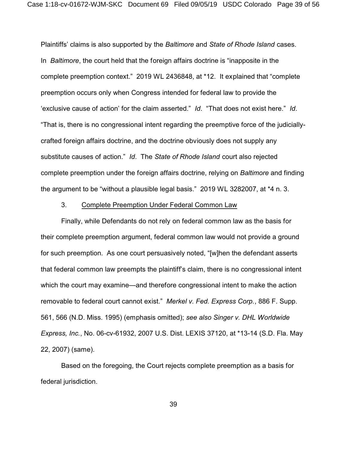Plaintiffs' claims is also supported by the *Baltimore* and *State of Rhode Island* cases. In *Baltimore*, the court held that the foreign affairs doctrine is "inapposite in the complete preemption context." 2019 WL 2436848, at \*12. It explained that "complete preemption occurs only when Congress intended for federal law to provide the 'exclusive cause of action' for the claim asserted." *Id*. "That does not exist here." *Id*. "That is, there is no congressional intent regarding the preemptive force of the judiciallycrafted foreign affairs doctrine, and the doctrine obviously does not supply any substitute causes of action." *Id*. The *State of Rhode Island* court also rejected complete preemption under the foreign affairs doctrine, relying on *Baltimore* and finding the argument to be "without a plausible legal basis." 2019 WL 3282007, at \*4 n. 3.

# 3. Complete Preemption Under Federal Common Law

Finally, while Defendants do not rely on federal common law as the basis for their complete preemption argument, federal common law would not provide a ground for such preemption. As one court persuasively noted, "[w]hen the defendant asserts that federal common law preempts the plaintiff's claim, there is no congressional intent which the court may examine—and therefore congressional intent to make the action removable to federal court cannot exist." *Merkel v. Fed. Express Corp.*, 886 F. Supp. 561, 566 (N.D. Miss. 1995) (emphasis omitted); *see also Singer v. DHL Worldwide Express, Inc.*, No. 06-cv-61932, 2007 U.S. Dist. LEXIS 37120, at \*13-14 (S.D. Fla. May 22, 2007) (same).

Based on the foregoing, the Court rejects complete preemption as a basis for federal jurisdiction.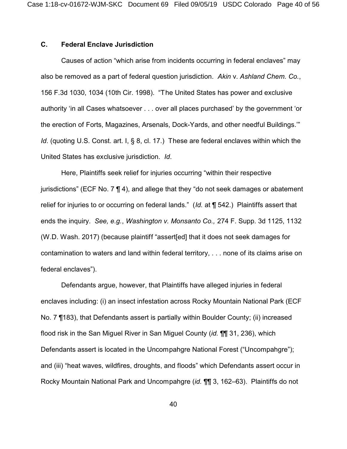# **C. Federal Enclave Jurisdiction**

Causes of action "which arise from incidents occurring in federal enclaves" may also be removed as a part of federal question jurisdiction. *Akin* v. *Ashland Chem. Co.*, 156 F.3d 1030, 1034 (10th Cir. 1998). "The United States has power and exclusive authority 'in all Cases whatsoever . . . over all places purchased' by the government 'or the erection of Forts, Magazines, Arsenals, Dock-Yards, and other needful Buildings.'" *Id.* (quoting U.S. Const. art. I, § 8, cl. 17.) These are federal enclaves within which the United States has exclusive jurisdiction. *Id*.

Here, Plaintiffs seek relief for injuries occurring "within their respective jurisdictions" (ECF No. 7 ¶ 4), and allege that they "do not seek damages or abatement relief for injuries to or occurring on federal lands." (*Id.* at ¶ 542.) Plaintiffs assert that ends the inquiry. *See, e.g.*, *Washington v. Monsanto Co.,* 274 F. Supp. 3d 1125, 1132 (W.D. Wash. 2017) (because plaintiff "assert[ed] that it does not seek damages for contamination to waters and land within federal territory, . . . none of its claims arise on federal enclaves").

Defendants argue, however, that Plaintiffs have alleged injuries in federal enclaves including: (i) an insect infestation across Rocky Mountain National Park (ECF No. 7 ¶183), that Defendants assert is partially within Boulder County; (ii) increased flood risk in the San Miguel River in San Miguel County (*id.* ¶¶ 31, 236), which Defendants assert is located in the Uncompahgre National Forest ("Uncompahgre"); and (iii) "heat waves, wildfires, droughts, and floods" which Defendants assert occur in Rocky Mountain National Park and Uncompahgre (*id.* ¶¶ 3, 162–63). Plaintiffs do not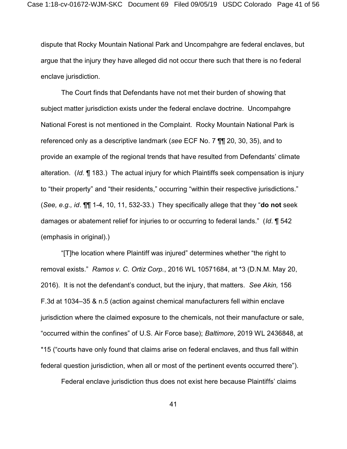dispute that Rocky Mountain National Park and Uncompahgre are federal enclaves, but argue that the injury they have alleged did not occur there such that there is no federal enclave jurisdiction.

The Court finds that Defendants have not met their burden of showing that subject matter jurisdiction exists under the federal enclave doctrine. Uncompahgre National Forest is not mentioned in the Complaint. Rocky Mountain National Park is referenced only as a descriptive landmark (*see* ECF No. 7 ¶¶ 20, 30, 35), and to provide an example of the regional trends that have resulted from Defendants' climate alteration. (*Id.* ¶ 183.) The actual injury for which Plaintiffs seek compensation is injury to "their property" and "their residents," occurring "within their respective jurisdictions." (*See, e.g., id*. ¶¶ 1-4, 10, 11, 532-33.) They specifically allege that they "**do not** seek damages or abatement relief for injuries to or occurring to federal lands." (*Id*. ¶ 542 (emphasis in original).)

"[T]he location where Plaintiff was injured" determines whether "the right to removal exists." *Ramos v. C. Ortiz Corp.*, 2016 WL 10571684, at \*3 (D.N.M. May 20, 2016). It is not the defendant's conduct, but the injury, that matters. *See Akin,* 156 F.3d at 1034–35 & n.5 (action against chemical manufacturers fell within enclave jurisdiction where the claimed exposure to the chemicals, not their manufacture or sale, "occurred within the confines" of U.S. Air Force base); *Baltimore*, 2019 WL 2436848, at \*15 ("courts have only found that claims arise on federal enclaves, and thus fall within federal question jurisdiction, when all or most of the pertinent events occurred there").

Federal enclave jurisdiction thus does not exist here because Plaintiffs' claims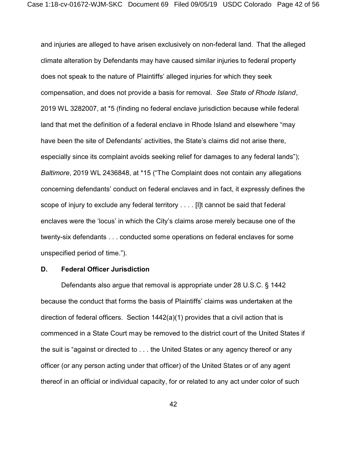and injuries are alleged to have arisen exclusively on non-federal land. That the alleged climate alteration by Defendants may have caused similar injuries to federal property does not speak to the nature of Plaintiffs' alleged injuries for which they seek compensation, and does not provide a basis for removal. *See State of Rhode Island*, 2019 WL 3282007, at \*5 (finding no federal enclave jurisdiction because while federal land that met the definition of a federal enclave in Rhode Island and elsewhere "may have been the site of Defendants' activities, the State's claims did not arise there, especially since its complaint avoids seeking relief for damages to any federal lands"); *Baltimore*, 2019 WL 2436848, at \*15 ("The Complaint does not contain any allegations concerning defendants' conduct on federal enclaves and in fact, it expressly defines the scope of injury to exclude any federal territory . . . . [I]t cannot be said that federal enclaves were the 'locus' in which the City's claims arose merely because one of the twenty-six defendants . . . conducted some operations on federal enclaves for some unspecified period of time.").

# **D. Federal Officer Jurisdiction**

Defendants also argue that removal is appropriate under 28 U.S.C. § 1442 because the conduct that forms the basis of Plaintiffs' claims was undertaken at the direction of federal officers. Section 1442(a)(1) provides that a civil action that is commenced in a State Court may be removed to the district court of the United States if the suit is "against or directed to . . . the United States or any agency thereof or any officer (or any person acting under that officer) of the United States or of any agent thereof in an official or individual capacity, for or related to any act under color of such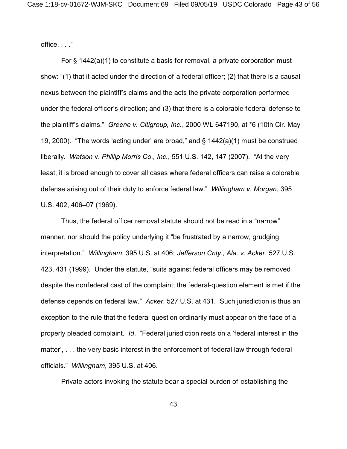office. . . ."

For § 1442(a)(1) to constitute a basis for removal, a private corporation must show: "(1) that it acted under the direction of a federal officer; (2) that there is a causal nexus between the plaintiff's claims and the acts the private corporation performed under the federal officer's direction; and (3) that there is a colorable federal defense to the plaintiff's claims." *Greene v. Citigroup, Inc.*, 2000 WL 647190, at \*6 (10th Cir. May 19, 2000). "The words 'acting under' are broad," and § 1442(a)(1) must be construed liberally. *Watson* v. *Phillip Morris Co., Inc.*, 551 U.S. 142, 147 (2007). "At the very least, it is broad enough to cover all cases where federal officers can raise a colorable defense arising out of their duty to enforce federal law." *Willingham v. Morgan*, 395 U.S. 402, 406–07 (1969).

Thus, the federal officer removal statute should not be read in a "narrow" manner, nor should the policy underlying it "be frustrated by a narrow, grudging interpretation." *Willingham*, 395 U.S. at 406; *Jefferson Cnty., Ala. v. Acker*, 527 U.S. 423, 431 (1999). Under the statute, "suits against federal officers may be removed despite the nonfederal cast of the complaint; the federal-question element is met if the defense depends on federal law." *Acker*, 527 U.S. at 431. Such jurisdiction is thus an exception to the rule that the federal question ordinarily must appear on the face of a properly pleaded complaint. *Id*. "Federal jurisdiction rests on a 'federal interest in the matter', . . . the very basic interest in the enforcement of federal law through federal officials." *Willingham*, 395 U.S. at 406.

Private actors invoking the statute bear a special burden of establishing the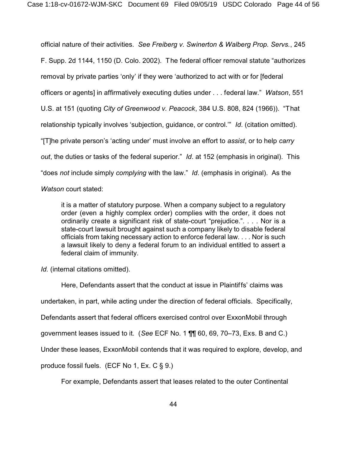official nature of their activities. *See Freiberg v. Swinerton & Walberg Prop. Servs.*, 245 F. Supp. 2d 1144, 1150 (D. Colo. 2002). The federal officer removal statute "authorizes removal by private parties 'only' if they were 'authorized to act with or for [federal officers or agents] in affirmatively executing duties under . . . federal law." *Watson*, 551 U.S. at 151 (quoting *City of Greenwood v. Peacock*, 384 U.S. 808, 824 (1966)). "That relationship typically involves 'subjection, guidance, or control.'" *Id*. (citation omitted). "[T]he private person's 'acting under' must involve an effort to *assist*, or to help *carry out*, the duties or tasks of the federal superior." *Id*. at 152 (emphasis in original). This "does *not* include simply *complying* with the law." *Id*. (emphasis in original). As the *Watson* court stated:

it is a matter of statutory purpose. When a company subject to a regulatory order (even a highly complex order) complies with the order, it does not ordinarily create a significant risk of state-court "prejudice.". . . . Nor is a state-court lawsuit brought against such a company likely to disable federal officials from taking necessary action to enforce federal law. . . . Nor is such a lawsuit likely to deny a federal forum to an individual entitled to assert a federal claim of immunity.

*Id.* (internal citations omitted).

Here, Defendants assert that the conduct at issue in Plaintiffs' claims was undertaken, in part, while acting under the direction of federal officials. Specifically, Defendants assert that federal officers exercised control over ExxonMobil through government leases issued to it. (*See* ECF No. 1 ¶¶ 60, 69, 70–73, Exs. B and C.) Under these leases, ExxonMobil contends that it was required to explore, develop, and produce fossil fuels. (ECF No 1, Ex. C § 9.)

For example, Defendants assert that leases related to the outer Continental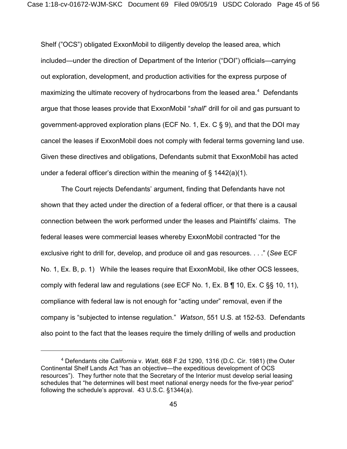Shelf ("OCS") obligated ExxonMobil to diligently develop the leased area, which included—under the direction of Department of the Interior ("DOI") officials—carrying out exploration, development, and production activities for the express purpose of maximizing the ultimate recovery of hydrocarbons from the leased area. $4$  Defendants argue that those leases provide that ExxonMobil "*shall*" drill for oil and gas pursuant to government-approved exploration plans (ECF No. 1, Ex. C § 9), and that the DOI may cancel the leases if ExxonMobil does not comply with federal terms governing land use. Given these directives and obligations, Defendants submit that ExxonMobil has acted under a federal officer's direction within the meaning of  $\S$  1442(a)(1).

The Court rejects Defendants' argument, finding that Defendants have not shown that they acted under the direction of a federal officer, or that there is a causal connection between the work performed under the leases and Plaintiffs' claims. The federal leases were commercial leases whereby ExxonMobil contracted "for the exclusive right to drill for, develop, and produce oil and gas resources. . . ." (*See* ECF No. 1, Ex. B, p. 1) While the leases require that ExxonMobil, like other OCS lessees, comply with federal law and regulations (*see* ECF No. 1, Ex. B ¶ 10, Ex. C §§ 10, 11), compliance with federal law is not enough for "acting under" removal, even if the company is "subjected to intense regulation." *Watson*, 551 U.S. at 152-53. Defendants also point to the fact that the leases require the timely drilling of wells and production

<sup>4</sup> Defendants cite *California* v. *Watt*, 668 F.2d 1290, 1316 (D.C. Cir. 1981) (the Outer Continental Shelf Lands Act "has an objective—the expeditious development of OCS resources"). They further note that the Secretary of the Interior must develop serial leasing schedules that "he determines will best meet national energy needs for the five-year period" following the schedule's approval. 43 U.S.C. §1344(a).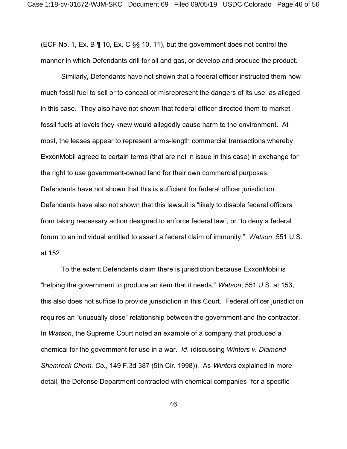(ECF No. 1, Ex. B ¶ 10, Ex. C §§ 10, 11), but the government does not control the manner in which Defendants drill for oil and gas, or develop and produce the product.

Similarly, Defendants have not shown that a federal officer instructed them how much fossil fuel to sell or to conceal or misrepresent the dangers of its use, as alleged in this case. They also have not shown that federal officer directed them to market fossil fuels at levels they knew would allegedly cause harm to the environment. At most, the leases appear to represent arms-length commercial transactions whereby ExxonMobil agreed to certain terms (that are not in issue in this case) in exchange for the right to use government-owned land for their own commercial purposes. Defendants have not shown that this is sufficient for federal officer jurisdiction. Defendants have also not shown that this lawsuit is "likely to disable federal officers from taking necessary action designed to enforce federal law", or "to deny a federal forum to an individual entitled to assert a federal claim of immunity." *Watson*, 551 U.S. at 152.

 To the extent Defendants claim there is jurisdiction because ExxonMobil is "helping the government to produce an item that it needs," *Watson*, 551 U.S. at 153, this also does not suffice to provide jurisdiction in this Court. Federal officer jurisdiction requires an "unusually close" relationship between the government and the contractor. In *Watson*, the Supreme Court noted an example of a company that produced a chemical for the government for use in a war. *Id*. (discussing *Winters v. Diamond Shamrock Chem. Co.*, 149 F.3d 387 (5th Cir. 1998)). As *Winters* explained in more detail, the Defense Department contracted with chemical companies "for a specific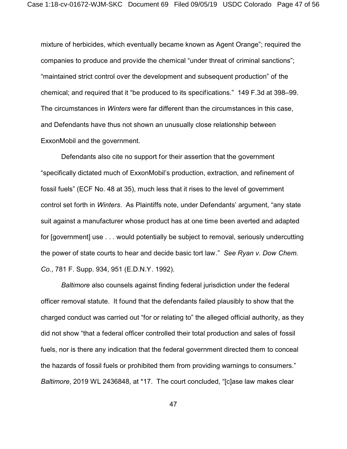mixture of herbicides, which eventually became known as Agent Orange"; required the companies to produce and provide the chemical "under threat of criminal sanctions"; "maintained strict control over the development and subsequent production" of the chemical; and required that it "be produced to its specifications." 149 F.3d at 398–99. The circumstances in *Winters* were far different than the circumstances in this case, and Defendants have thus not shown an unusually close relationship between ExxonMobil and the government.

Defendants also cite no support for their assertion that the government "specifically dictated much of ExxonMobil's production, extraction, and refinement of fossil fuels" (ECF No. 48 at 35), much less that it rises to the level of government control set forth in *Winters*. As Plaintiffs note, under Defendants' argument, "any state suit against a manufacturer whose product has at one time been averted and adapted for [government] use . . . would potentially be subject to removal, seriously undercutting the power of state courts to hear and decide basic tort law." *See Ryan v. Dow Chem. Co.*, 781 F. Supp. 934, 951 (E.D.N.Y. 1992).

*Baltimore* also counsels against finding federal jurisdiction under the federal officer removal statute. It found that the defendants failed plausibly to show that the charged conduct was carried out "for or relating to" the alleged official authority, as they did not show "that a federal officer controlled their total production and sales of fossil fuels, nor is there any indication that the federal government directed them to conceal the hazards of fossil fuels or prohibited them from providing warnings to consumers." *Baltimore*, 2019 WL 2436848, at \*17. The court concluded, "[c]ase law makes clear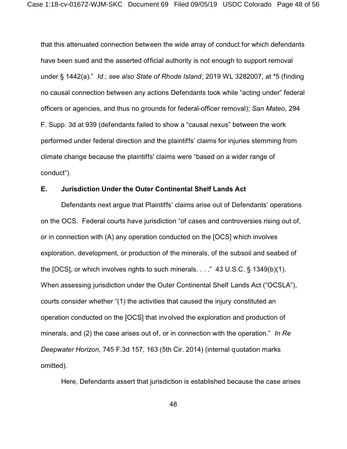that this attenuated connection between the wide array of conduct for which defendants have been sued and the asserted official authority is not enough to support removal under § 1442(a)." *Id*.; *see also State of Rhode Island*, 2019 WL 3282007, at \*5 (finding no causal connection between any actions Defendants took while "acting under" federal officers or agencies, and thus no grounds for federal-officer removal); *San Mateo*, 294 F. Supp. 3d at 939 (defendants failed to show a "causal nexus" between the work performed under federal direction and the plaintiffs' claims for injuries stemming from climate change because the plaintiffs' claims were "based on a wider range of conduct").

# **E. Jurisdiction Under the Outer Continental Shelf Lands Act**

Defendants next argue that Plaintiffs' claims arise out of Defendants' operations on the OCS. Federal courts have jurisdiction "of cases and controversies rising out of, or in connection with (A) any operation conducted on the [OCS] which involves exploration, development, or production of the minerals, of the subsoil and seabed of the [OCS], or which involves rights to such minerals. . . ." 43 U.S.C. § 1349(b)(1). When assessing jurisdiction under the Outer Continental Shelf Lands Act ("OCSLA"), courts consider whether "(1) the activities that caused the injury constituted an operation conducted on the [OCS] that involved the exploration and production of minerals, and (2) the case arises out of, or in connection with the operation." *In Re Deepwater Horizon*, 745 F.3d 157, 163 (5th Cir. 2014) (internal quotation marks omitted).

Here, Defendants assert that jurisdiction is established because the case arises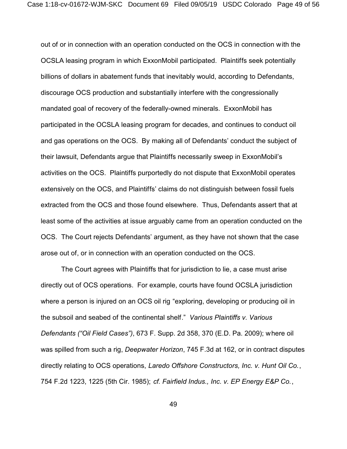out of or in connection with an operation conducted on the OCS in connection with the OCSLA leasing program in which ExxonMobil participated. Plaintiffs seek potentially billions of dollars in abatement funds that inevitably would, according to Defendants, discourage OCS production and substantially interfere with the congressionally mandated goal of recovery of the federally-owned minerals. ExxonMobil has participated in the OCSLA leasing program for decades, and continues to conduct oil and gas operations on the OCS. By making all of Defendants' conduct the subject of their lawsuit, Defendants argue that Plaintiffs necessarily sweep in ExxonMobil's activities on the OCS. Plaintiffs purportedly do not dispute that ExxonMobil operates extensively on the OCS, and Plaintiffs' claims do not distinguish between fossil fuels extracted from the OCS and those found elsewhere. Thus, Defendants assert that at least some of the activities at issue arguably came from an operation conducted on the OCS. The Court rejects Defendants' argument, as they have not shown that the case arose out of, or in connection with an operation conducted on the OCS.

The Court agrees with Plaintiffs that for jurisdiction to lie, a case must arise directly out of OCS operations. For example, courts have found OCSLA jurisdiction where a person is injured on an OCS oil rig "exploring, developing or producing oil in the subsoil and seabed of the continental shelf." *Various Plaintiffs v. Various Defendants ("Oil Field Cases")*, 673 F. Supp. 2d 358, 370 (E.D. Pa. 2009); where oil was spilled from such a rig, *Deepwater Horizon*, 745 F.3d at 162, or in contract disputes directly relating to OCS operations, *Laredo Offshore Constructors, Inc. v. Hunt Oil Co.*, 754 F.2d 1223, 1225 (5th Cir. 1985); *cf. Fairfield Indus., Inc. v. EP Energy E&P Co.*,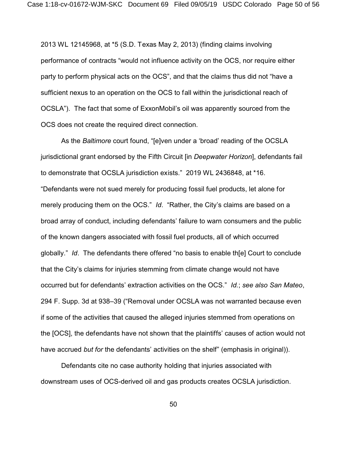2013 WL 12145968, at \*5 (S.D. Texas May 2, 2013) (finding claims involving performance of contracts "would not influence activity on the OCS, nor require either party to perform physical acts on the OCS", and that the claims thus did not "have a sufficient nexus to an operation on the OCS to fall within the jurisdictional reach of OCSLA"). The fact that some of ExxonMobil's oil was apparently sourced from the OCS does not create the required direct connection.

 As the *Baltimore* court found, "[e]ven under a 'broad' reading of the OCSLA jurisdictional grant endorsed by the Fifth Circuit [in *Deepwater Horizon*], defendants fail to demonstrate that OCSLA jurisdiction exists." 2019 WL 2436848, at \*16. "Defendants were not sued merely for producing fossil fuel products, let alone for merely producing them on the OCS." *Id*. "Rather, the City's claims are based on a broad array of conduct, including defendants' failure to warn consumers and the public of the known dangers associated with fossil fuel products, all of which occurred globally." *Id*. The defendants there offered "no basis to enable th[e] Court to conclude that the City's claims for injuries stemming from climate change would not have occurred but for defendants' extraction activities on the OCS." *Id.*; *see also San Mateo*, 294 F. Supp. 3d at 938–39 ("Removal under OCSLA was not warranted because even if some of the activities that caused the alleged injuries stemmed from operations on the [OCS], the defendants have not shown that the plaintiffs' causes of action would not have accrued *but for* the defendants' activities on the shelf" (emphasis in original)).

Defendants cite no case authority holding that injuries associated with downstream uses of OCS-derived oil and gas products creates OCSLA jurisdiction.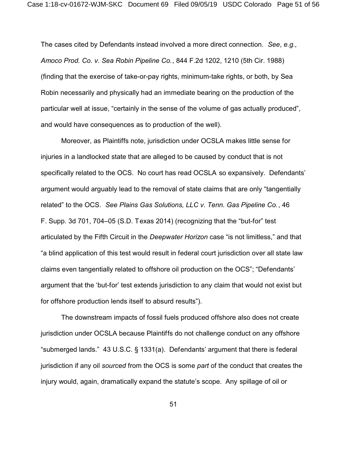The cases cited by Defendants instead involved a more direct connection. *See*, *e.g., Amoco Prod. Co. v. Sea Robin Pipeline Co.*, 844 F.2d 1202, 1210 (5th Cir. 1988) (finding that the exercise of take-or-pay rights, minimum-take rights, or both, by Sea Robin necessarily and physically had an immediate bearing on the production of the particular well at issue, "certainly in the sense of the volume of gas actually produced", and would have consequences as to production of the well).

Moreover, as Plaintiffs note, jurisdiction under OCSLA makes little sense for injuries in a landlocked state that are alleged to be caused by conduct that is not specifically related to the OCS. No court has read OCSLA so expansively. Defendants' argument would arguably lead to the removal of state claims that are only "tangentially related" to the OCS. *See Plains Gas Solutions, LLC v. Tenn. Gas Pipeline Co.*, 46 F. Supp. 3d 701, 704–05 (S.D. Texas 2014) (recognizing that the "but-for" test articulated by the Fifth Circuit in the *Deepwater Horizon* case "is not limitless," and that "a blind application of this test would result in federal court jurisdiction over all state law claims even tangentially related to offshore oil production on the OCS"; "Defendants' argument that the 'but-for' test extends jurisdiction to any claim that would not exist but for offshore production lends itself to absurd results").

The downstream impacts of fossil fuels produced offshore also does not create jurisdiction under OCSLA because Plaintiffs do not challenge conduct on any offshore "submerged lands." 43 U.S.C. § 1331(a). Defendants' argument that there is federal jurisdiction if any oil *sourced* from the OCS is some *part* of the conduct that creates the injury would, again, dramatically expand the statute's scope. Any spillage of oil or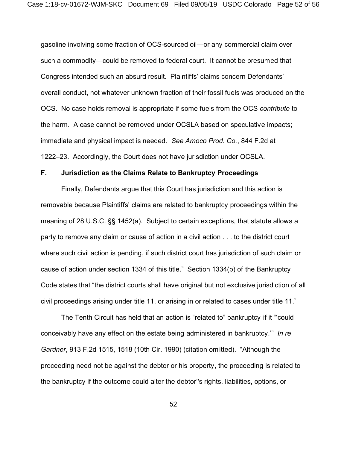gasoline involving some fraction of OCS-sourced oil—or any commercial claim over such a commodity—could be removed to federal court. It cannot be presumed that Congress intended such an absurd result. Plaintiffs' claims concern Defendants' overall conduct, not whatever unknown fraction of their fossil fuels was produced on the OCS. No case holds removal is appropriate if some fuels from the OCS *contribute* to the harm. A case cannot be removed under OCSLA based on speculative impacts; immediate and physical impact is needed. *See Amoco Prod. Co.*, 844 F.2d at 1222–23. Accordingly, the Court does not have jurisdiction under OCSLA.

## **F. Jurisdiction as the Claims Relate to Bankruptcy Proceedings**

Finally, Defendants argue that this Court has jurisdiction and this action is removable because Plaintiffs' claims are related to bankruptcy proceedings within the meaning of 28 U.S.C. §§ 1452(a). Subject to certain exceptions, that statute allows a party to remove any claim or cause of action in a civil action . . . to the district court where such civil action is pending, if such district court has jurisdiction of such claim or cause of action under section 1334 of this title." Section 1334(b) of the Bankruptcy Code states that "the district courts shall have original but not exclusive jurisdiction of all civil proceedings arising under title 11, or arising in or related to cases under title 11."

The Tenth Circuit has held that an action is "related to" bankruptcy if it "'could conceivably have any effect on the estate being administered in bankruptcy.'" *In re Gardner*, 913 F.2d 1515, 1518 (10th Cir. 1990) (citation omitted). "Although the proceeding need not be against the debtor or his property, the proceeding is related to the bankruptcy if the outcome could alter the debtor''s rights, liabilities, options, or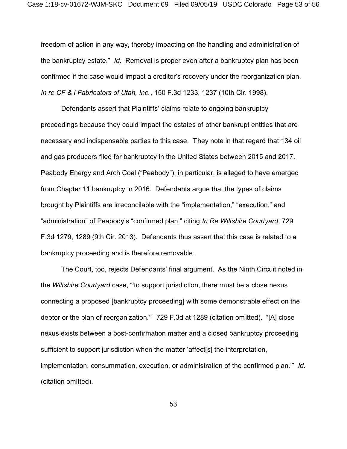freedom of action in any way, thereby impacting on the handling and administration of the bankruptcy estate." *Id*. Removal is proper even after a bankruptcy plan has been confirmed if the case would impact a creditor's recovery under the reorganization plan. *In re CF & I Fabricators of Utah, Inc.*, 150 F.3d 1233, 1237 (10th Cir. 1998).

Defendants assert that Plaintiffs' claims relate to ongoing bankruptcy proceedings because they could impact the estates of other bankrupt entities that are necessary and indispensable parties to this case. They note in that regard that 134 oil and gas producers filed for bankruptcy in the United States between 2015 and 2017. Peabody Energy and Arch Coal ("Peabody"), in particular, is alleged to have emerged from Chapter 11 bankruptcy in 2016. Defendants argue that the types of claims brought by Plaintiffs are irreconcilable with the "implementation," "execution," and "administration" of Peabody's "confirmed plan," citing *In Re Wiltshire Courtyard*, 729 F.3d 1279, 1289 (9th Cir. 2013). Defendants thus assert that this case is related to a bankruptcy proceeding and is therefore removable.

The Court, too, rejects Defendants' final argument. As the Ninth Circuit noted in the *Wiltshire Courtyard* case, "'to support jurisdiction, there must be a close nexus connecting a proposed [bankruptcy proceeding] with some demonstrable effect on the debtor or the plan of reorganization.'" 729 F.3d at 1289 (citation omitted). "[A] close nexus exists between a post-confirmation matter and a closed bankruptcy proceeding sufficient to support jurisdiction when the matter 'affect[s] the interpretation, implementation, consummation, execution, or administration of the confirmed plan.'" *Id*. (citation omitted).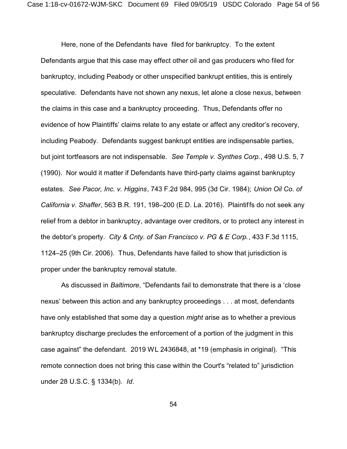Here, none of the Defendants have filed for bankruptcy. To the extent Defendants argue that this case may effect other oil and gas producers who filed for bankruptcy, including Peabody or other unspecified bankrupt entities, this is entirely speculative. Defendants have not shown any nexus, let alone a close nexus, between the claims in this case and a bankruptcy proceeding. Thus, Defendants offer no evidence of how Plaintiffs' claims relate to any estate or affect any creditor's recovery, including Peabody. Defendants suggest bankrupt entities are indispensable parties, but joint tortfeasors are not indispensable. *See Temple v. Synthes Corp.*, 498 U.S. 5, 7 (1990). Nor would it matter if Defendants have third-party claims against bankruptcy estates. *See Pacor, Inc. v. Higgins*, 743 F.2d 984, 995 (3d Cir. 1984); *Union Oil Co. of California v. Shaffer*, 563 B.R. 191, 198–200 (E.D. La. 2016). Plaintiffs do not seek any relief from a debtor in bankruptcy, advantage over creditors, or to protect any interest in the debtor's property*. City & Cnty. of San Francisco v. PG & E Corp.*, 433 F.3d 1115, 1124–25 (9th Cir. 2006). Thus, Defendants have failed to show that jurisdiction is proper under the bankruptcy removal statute.

As discussed in *Baltimore*, "Defendants fail to demonstrate that there is a 'close nexus' between this action and any bankruptcy proceedings . . . at most, defendants have only established that some day a question *might* arise as to whether a previous bankruptcy discharge precludes the enforcement of a portion of the judgment in this case against" the defendant. 2019 WL 2436848, at \*19 (emphasis in original). "This remote connection does not bring this case within the Court's "related to" jurisdiction under 28 U.S.C. § 1334(b). *Id*.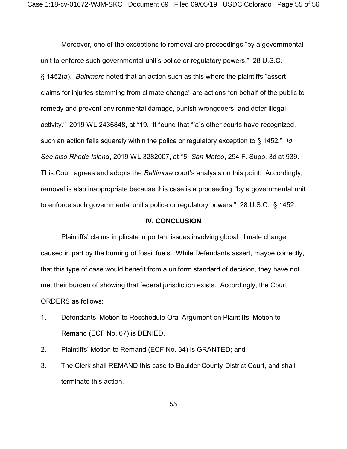Moreover, one of the exceptions to removal are proceedings "by a governmental unit to enforce such governmental unit's police or regulatory powers." 28 U.S.C. § 1452(a). *Baltimore* noted that an action such as this where the plaintiffs "assert claims for injuries stemming from climate change" are actions "on behalf of the public to remedy and prevent environmental damage, punish wrongdoers, and deter illegal activity." 2019 WL 2436848, at \*19. It found that "[a]s other courts have recognized, such an action falls squarely within the police or regulatory exception to § 1452." *Id*. *See also Rhode Island*, 2019 WL 3282007, at \*5; *San Mateo*, 294 F. Supp. 3d at 939. This Court agrees and adopts the *Baltimore* court's analysis on this point. Accordingly, removal is also inappropriate because this case is a proceeding "by a governmental unit to enforce such governmental unit's police or regulatory powers." 28 U.S.C. § 1452.

#### **IV. CONCLUSION**

Plaintiffs' claims implicate important issues involving global climate change caused in part by the burning of fossil fuels. While Defendants assert, maybe correctly, that this type of case would benefit from a uniform standard of decision, they have not met their burden of showing that federal jurisdiction exists. Accordingly, the Court ORDERS as follows:

- 1. Defendants' Motion to Reschedule Oral Argument on Plaintiffs' Motion to Remand (ECF No. 67) is DENIED.
- 2. Plaintiffs' Motion to Remand (ECF No. 34) is GRANTED; and
- 3. The Clerk shall REMAND this case to Boulder County District Court, and shall terminate this action.